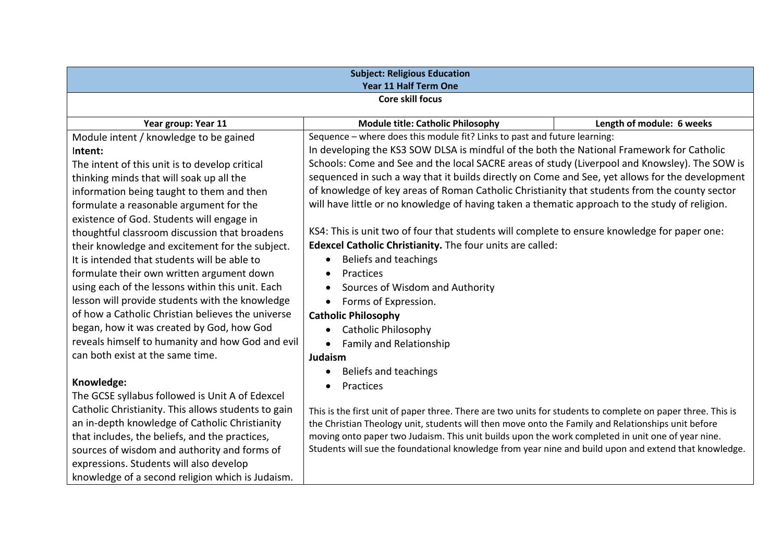| <b>Subject: Religious Education</b><br>Year 11 Half Term One |                                                                                                             |                           |  |
|--------------------------------------------------------------|-------------------------------------------------------------------------------------------------------------|---------------------------|--|
| <b>Core skill focus</b>                                      |                                                                                                             |                           |  |
| Year group: Year 11                                          | <b>Module title: Catholic Philosophy</b>                                                                    | Length of module: 6 weeks |  |
| Module intent / knowledge to be gained                       | Sequence - where does this module fit? Links to past and future learning:                                   |                           |  |
| Intent:                                                      | In developing the KS3 SOW DLSA is mindful of the both the National Framework for Catholic                   |                           |  |
| The intent of this unit is to develop critical               | Schools: Come and See and the local SACRE areas of study (Liverpool and Knowsley). The SOW is               |                           |  |
| thinking minds that will soak up all the                     | sequenced in such a way that it builds directly on Come and See, yet allows for the development             |                           |  |
| information being taught to them and then                    | of knowledge of key areas of Roman Catholic Christianity that students from the county sector               |                           |  |
| formulate a reasonable argument for the                      | will have little or no knowledge of having taken a thematic approach to the study of religion.              |                           |  |
| existence of God. Students will engage in                    |                                                                                                             |                           |  |
| thoughtful classroom discussion that broadens                | KS4: This is unit two of four that students will complete to ensure knowledge for paper one:                |                           |  |
| their knowledge and excitement for the subject.              | Edexcel Catholic Christianity. The four units are called:                                                   |                           |  |
| It is intended that students will be able to                 | Beliefs and teachings                                                                                       |                           |  |
| formulate their own written argument down                    | <b>Practices</b>                                                                                            |                           |  |
| using each of the lessons within this unit. Each             | Sources of Wisdom and Authority                                                                             |                           |  |
| lesson will provide students with the knowledge              | Forms of Expression.<br>$\bullet$                                                                           |                           |  |
| of how a Catholic Christian believes the universe            | <b>Catholic Philosophy</b>                                                                                  |                           |  |
| began, how it was created by God, how God                    | <b>Catholic Philosophy</b>                                                                                  |                           |  |
| reveals himself to humanity and how God and evil             | <b>Family and Relationship</b><br>$\bullet$                                                                 |                           |  |
| can both exist at the same time.                             | Judaism                                                                                                     |                           |  |
|                                                              | Beliefs and teachings                                                                                       |                           |  |
| Knowledge:                                                   | Practices                                                                                                   |                           |  |
| The GCSE syllabus followed is Unit A of Edexcel              |                                                                                                             |                           |  |
| Catholic Christianity. This allows students to gain          | This is the first unit of paper three. There are two units for students to complete on paper three. This is |                           |  |
| an in-depth knowledge of Catholic Christianity               | the Christian Theology unit, students will then move onto the Family and Relationships unit before          |                           |  |
| that includes, the beliefs, and the practices,               | moving onto paper two Judaism. This unit builds upon the work completed in unit one of year nine.           |                           |  |
| sources of wisdom and authority and forms of                 | Students will sue the foundational knowledge from year nine and build upon and extend that knowledge.       |                           |  |
| expressions. Students will also develop                      |                                                                                                             |                           |  |
| knowledge of a second religion which is Judaism.             |                                                                                                             |                           |  |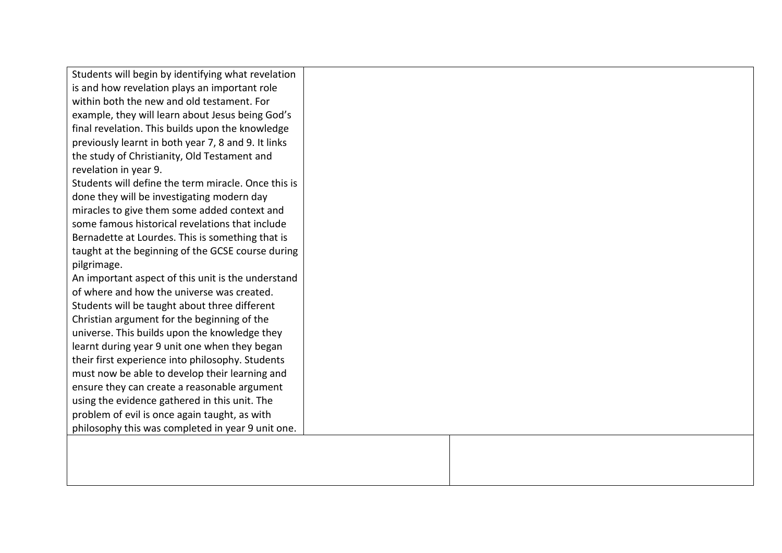| Students will begin by identifying what revelation  |  |
|-----------------------------------------------------|--|
| is and how revelation plays an important role       |  |
| within both the new and old testament. For          |  |
| example, they will learn about Jesus being God's    |  |
| final revelation. This builds upon the knowledge    |  |
| previously learnt in both year 7, 8 and 9. It links |  |
| the study of Christianity, Old Testament and        |  |
| revelation in year 9.                               |  |
| Students will define the term miracle. Once this is |  |
| done they will be investigating modern day          |  |
| miracles to give them some added context and        |  |
| some famous historical revelations that include     |  |
| Bernadette at Lourdes. This is something that is    |  |
| taught at the beginning of the GCSE course during   |  |
| pilgrimage.                                         |  |
| An important aspect of this unit is the understand  |  |
| of where and how the universe was created.          |  |
| Students will be taught about three different       |  |
| Christian argument for the beginning of the         |  |
| universe. This builds upon the knowledge they       |  |
| learnt during year 9 unit one when they began       |  |
| their first experience into philosophy. Students    |  |
| must now be able to develop their learning and      |  |
| ensure they can create a reasonable argument        |  |
| using the evidence gathered in this unit. The       |  |
| problem of evil is once again taught, as with       |  |
| philosophy this was completed in year 9 unit one.   |  |
|                                                     |  |
|                                                     |  |
|                                                     |  |
|                                                     |  |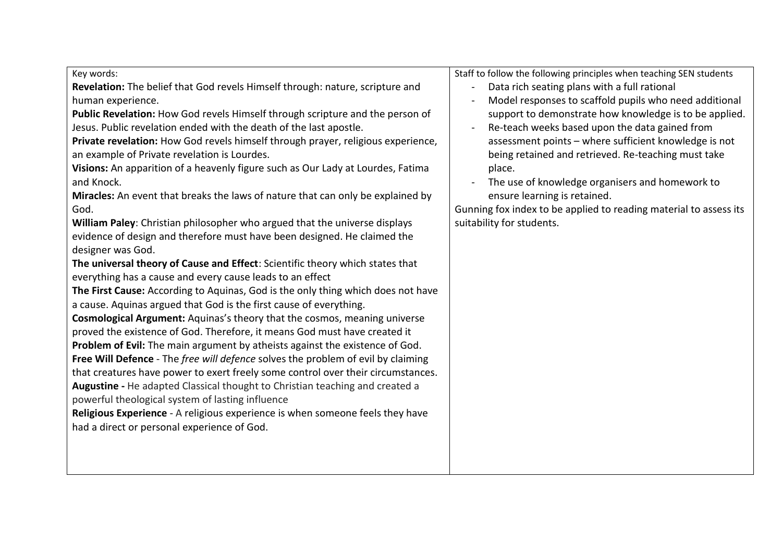Key words:

**Revelation:** The belief that God revels Himself through: nature, scripture and human experience.

**Public Revelation:** How God revels Himself through scripture and the person of Jesus. Public revelation ended with the death of the last apostle.

**Private revelation:** How God revels himself through prayer, religious experience, an example of Private revelation is Lourdes.

**Visions:** An apparition of a heavenly figure such as Our Lady at Lourdes, Fatima and Knock.

**Miracles:** An event that breaks the laws of nature that can only be explained by God.

**William Paley**: Christian philosopher who argued that the universe displays evidence of design and therefore must have been designed. He claimed the designer was God.

**The universal theory of Cause and Effect**: Scientific theory which states that everything has a cause and every cause leads to an effect

**The First Cause:** According to Aquinas, God is the only thing which does not have a cause. Aquinas argued that God is the first cause of everything.

**Cosmological Argument:** Aquinas's theory that the cosmos, meaning universe proved the existence of God. Therefore, it means God must have created it **Problem of Evil:** The main argument by atheists against the existence of God.

**Free Will Defence** - The *free will defence* solves the problem of evil by claiming that creatures have power to exert freely some control over their circumstances. **Augustine -** He adapted Classical thought to Christian teaching and created a powerful theological system of lasting influence

**Religious Experience** - A religious experience is when someone feels they have had a direct or personal experience of God.

Staff to follow the following principles when teaching SEN students

- Data rich seating plans with a full rational
- Model responses to scaffold pupils who need additional support to demonstrate how knowledge is to be applied.
- Re-teach weeks based upon the data gained from assessment points – where sufficient knowledge is not being retained and retrieved. Re-teaching must take place.
- The use of knowledge organisers and homework to ensure learning is retained.

Gunning fox index to be applied to reading material to assess its suitability for students.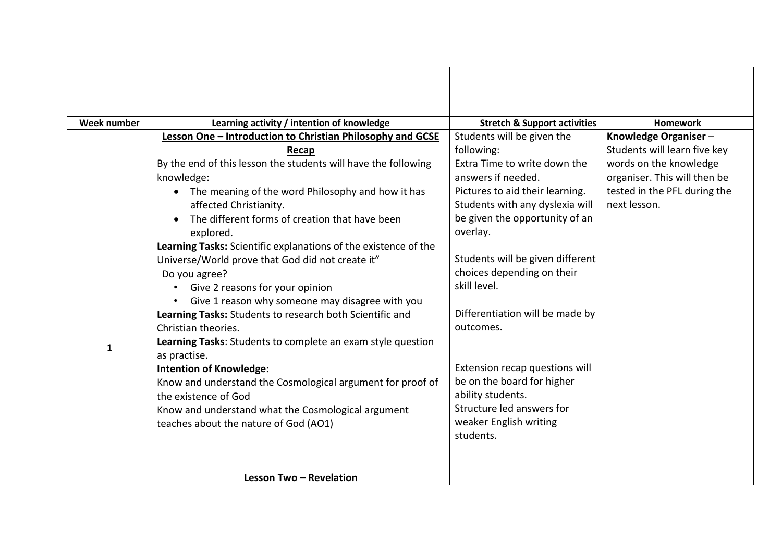| Week number  | Learning activity / intention of knowledge                      | <b>Stretch &amp; Support activities</b> | <b>Homework</b>              |
|--------------|-----------------------------------------------------------------|-----------------------------------------|------------------------------|
|              | Lesson One - Introduction to Christian Philosophy and GCSE      | Students will be given the              | Knowledge Organiser-         |
|              | Recap                                                           | following:                              | Students will learn five key |
|              | By the end of this lesson the students will have the following  | Extra Time to write down the            | words on the knowledge       |
|              | knowledge:                                                      | answers if needed.                      | organiser. This will then be |
|              | The meaning of the word Philosophy and how it has<br>$\bullet$  | Pictures to aid their learning.         | tested in the PFL during the |
|              | affected Christianity.                                          | Students with any dyslexia will         | next lesson.                 |
|              | The different forms of creation that have been                  | be given the opportunity of an          |                              |
|              | explored.                                                       | overlay.                                |                              |
|              | Learning Tasks: Scientific explanations of the existence of the |                                         |                              |
|              | Universe/World prove that God did not create it"                | Students will be given different        |                              |
|              | Do you agree?                                                   | choices depending on their              |                              |
|              | Give 2 reasons for your opinion<br>$\bullet$                    | skill level.                            |                              |
|              | Give 1 reason why someone may disagree with you<br>$\bullet$    |                                         |                              |
|              | Learning Tasks: Students to research both Scientific and        | Differentiation will be made by         |                              |
|              | Christian theories.                                             | outcomes.                               |                              |
| $\mathbf{1}$ | Learning Tasks: Students to complete an exam style question     |                                         |                              |
|              | as practise.                                                    |                                         |                              |
|              | <b>Intention of Knowledge:</b>                                  | Extension recap questions will          |                              |
|              | Know and understand the Cosmological argument for proof of      | be on the board for higher              |                              |
|              | the existence of God                                            | ability students.                       |                              |
|              | Know and understand what the Cosmological argument              | Structure led answers for               |                              |
|              | teaches about the nature of God (AO1)                           | weaker English writing                  |                              |
|              |                                                                 | students.                               |                              |
|              |                                                                 |                                         |                              |
|              |                                                                 |                                         |                              |
|              | Lesson Two - Revelation                                         |                                         |                              |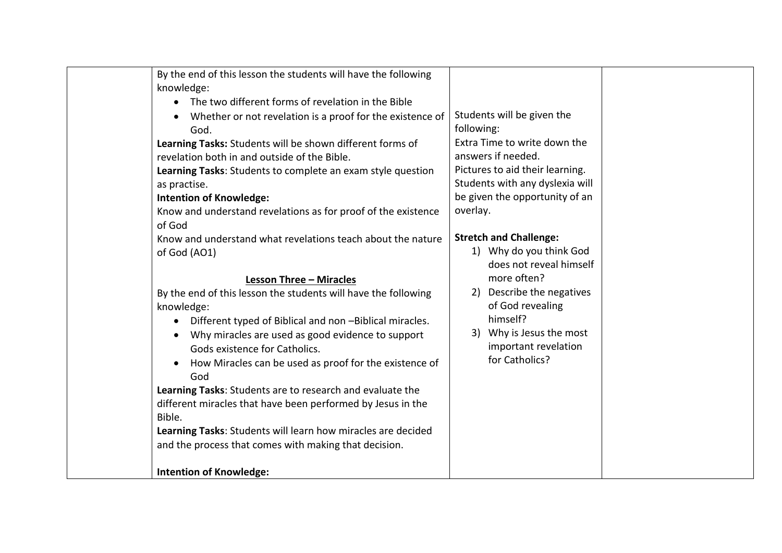|  | By the end of this lesson the students will have the following<br>knowledge:<br>The two different forms of revelation in the Bible<br>$\bullet$<br>Whether or not revelation is a proof for the existence of<br>God.<br>Learning Tasks: Students will be shown different forms of<br>revelation both in and outside of the Bible.<br>Learning Tasks: Students to complete an exam style question<br>as practise.<br><b>Intention of Knowledge:</b><br>Know and understand revelations as for proof of the existence<br>of God<br>Know and understand what revelations teach about the nature<br>of God (AO1)<br><b>Lesson Three - Miracles</b><br>By the end of this lesson the students will have the following<br>knowledge:<br>Different typed of Biblical and non -Biblical miracles.<br>$\bullet$<br>Why miracles are used as good evidence to support<br>$\bullet$<br>Gods existence for Catholics.<br>How Miracles can be used as proof for the existence of<br>$\bullet$<br>God<br>Learning Tasks: Students are to research and evaluate the<br>different miracles that have been performed by Jesus in the<br>Bible.<br>Learning Tasks: Students will learn how miracles are decided<br>and the process that comes with making that decision.<br><b>Intention of Knowledge:</b> | Students will be given the<br>following:<br>Extra Time to write down the<br>answers if needed.<br>Pictures to aid their learning.<br>Students with any dyslexia will<br>be given the opportunity of an<br>overlay.<br><b>Stretch and Challenge:</b><br>1) Why do you think God<br>does not reveal himself<br>more often?<br>2) Describe the negatives<br>of God revealing<br>himself?<br>3) Why is Jesus the most<br>important revelation<br>for Catholics? |  |
|--|------------------------------------------------------------------------------------------------------------------------------------------------------------------------------------------------------------------------------------------------------------------------------------------------------------------------------------------------------------------------------------------------------------------------------------------------------------------------------------------------------------------------------------------------------------------------------------------------------------------------------------------------------------------------------------------------------------------------------------------------------------------------------------------------------------------------------------------------------------------------------------------------------------------------------------------------------------------------------------------------------------------------------------------------------------------------------------------------------------------------------------------------------------------------------------------------------------------------------------------------------------------------------------------|-------------------------------------------------------------------------------------------------------------------------------------------------------------------------------------------------------------------------------------------------------------------------------------------------------------------------------------------------------------------------------------------------------------------------------------------------------------|--|
|--|------------------------------------------------------------------------------------------------------------------------------------------------------------------------------------------------------------------------------------------------------------------------------------------------------------------------------------------------------------------------------------------------------------------------------------------------------------------------------------------------------------------------------------------------------------------------------------------------------------------------------------------------------------------------------------------------------------------------------------------------------------------------------------------------------------------------------------------------------------------------------------------------------------------------------------------------------------------------------------------------------------------------------------------------------------------------------------------------------------------------------------------------------------------------------------------------------------------------------------------------------------------------------------------|-------------------------------------------------------------------------------------------------------------------------------------------------------------------------------------------------------------------------------------------------------------------------------------------------------------------------------------------------------------------------------------------------------------------------------------------------------------|--|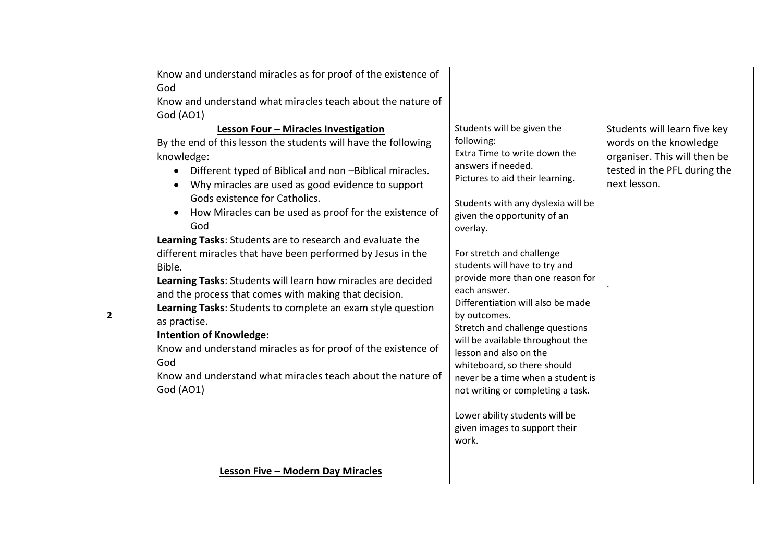|                         | Know and understand miracles as for proof of the existence of<br>God<br>Know and understand what miracles teach about the nature of<br>God (AO1)                                                                                                                                                                                                                                                                                                                                                                                                                                                                                                                                                                                                                                                                                                                                                     |                                                                                                                                                                                                                                                                                                                                                                                                                                                                                                                                                                                                                                                                                 |                                                                                                                                        |
|-------------------------|------------------------------------------------------------------------------------------------------------------------------------------------------------------------------------------------------------------------------------------------------------------------------------------------------------------------------------------------------------------------------------------------------------------------------------------------------------------------------------------------------------------------------------------------------------------------------------------------------------------------------------------------------------------------------------------------------------------------------------------------------------------------------------------------------------------------------------------------------------------------------------------------------|---------------------------------------------------------------------------------------------------------------------------------------------------------------------------------------------------------------------------------------------------------------------------------------------------------------------------------------------------------------------------------------------------------------------------------------------------------------------------------------------------------------------------------------------------------------------------------------------------------------------------------------------------------------------------------|----------------------------------------------------------------------------------------------------------------------------------------|
| $\overline{\mathbf{2}}$ | Lesson Four - Miracles Investigation<br>By the end of this lesson the students will have the following<br>knowledge:<br>Different typed of Biblical and non -Biblical miracles.<br>$\bullet$<br>Why miracles are used as good evidence to support<br>Gods existence for Catholics.<br>How Miracles can be used as proof for the existence of<br>$\bullet$<br>God<br>Learning Tasks: Students are to research and evaluate the<br>different miracles that have been performed by Jesus in the<br>Bible.<br>Learning Tasks: Students will learn how miracles are decided<br>and the process that comes with making that decision.<br>Learning Tasks: Students to complete an exam style question<br>as practise.<br><b>Intention of Knowledge:</b><br>Know and understand miracles as for proof of the existence of<br>God<br>Know and understand what miracles teach about the nature of<br>God (AO1) | Students will be given the<br>following:<br>Extra Time to write down the<br>answers if needed.<br>Pictures to aid their learning.<br>Students with any dyslexia will be<br>given the opportunity of an<br>overlay.<br>For stretch and challenge<br>students will have to try and<br>provide more than one reason for<br>each answer.<br>Differentiation will also be made<br>by outcomes.<br>Stretch and challenge questions<br>will be available throughout the<br>lesson and also on the<br>whiteboard, so there should<br>never be a time when a student is<br>not writing or completing a task.<br>Lower ability students will be<br>given images to support their<br>work. | Students will learn five key<br>words on the knowledge<br>organiser. This will then be<br>tested in the PFL during the<br>next lesson. |
|                         | Lesson Five - Modern Day Miracles                                                                                                                                                                                                                                                                                                                                                                                                                                                                                                                                                                                                                                                                                                                                                                                                                                                                    |                                                                                                                                                                                                                                                                                                                                                                                                                                                                                                                                                                                                                                                                                 |                                                                                                                                        |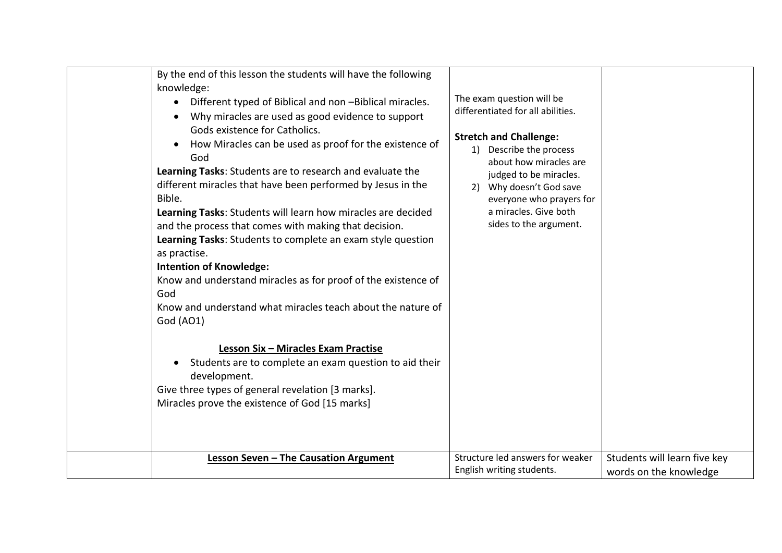| By the end of this lesson the students will have the following<br>knowledge:<br>Different typed of Biblical and non -Biblical miracles.<br>Why miracles are used as good evidence to support<br>$\bullet$<br>Gods existence for Catholics.<br>How Miracles can be used as proof for the existence of<br>$\bullet$<br>God<br>Learning Tasks: Students are to research and evaluate the<br>different miracles that have been performed by Jesus in the<br>Bible.<br>Learning Tasks: Students will learn how miracles are decided<br>and the process that comes with making that decision.<br>Learning Tasks: Students to complete an exam style question<br>as practise.<br><b>Intention of Knowledge:</b><br>Know and understand miracles as for proof of the existence of<br>God<br>Know and understand what miracles teach about the nature of<br>God (AO1)<br>Lesson Six - Miracles Exam Practise<br>Students are to complete an exam question to aid their<br>$\bullet$<br>development.<br>Give three types of general revelation [3 marks].<br>Miracles prove the existence of God [15 marks] | The exam question will be<br>differentiated for all abilities.<br><b>Stretch and Challenge:</b><br>1) Describe the process<br>about how miracles are<br>judged to be miracles.<br>2) Why doesn't God save<br>everyone who prayers for<br>a miracles. Give both<br>sides to the argument.<br>Structure led answers for weaker | Students will learn five key |
|---------------------------------------------------------------------------------------------------------------------------------------------------------------------------------------------------------------------------------------------------------------------------------------------------------------------------------------------------------------------------------------------------------------------------------------------------------------------------------------------------------------------------------------------------------------------------------------------------------------------------------------------------------------------------------------------------------------------------------------------------------------------------------------------------------------------------------------------------------------------------------------------------------------------------------------------------------------------------------------------------------------------------------------------------------------------------------------------------|------------------------------------------------------------------------------------------------------------------------------------------------------------------------------------------------------------------------------------------------------------------------------------------------------------------------------|------------------------------|
| <b>Lesson Seven - The Causation Argument</b>                                                                                                                                                                                                                                                                                                                                                                                                                                                                                                                                                                                                                                                                                                                                                                                                                                                                                                                                                                                                                                                      | English writing students.                                                                                                                                                                                                                                                                                                    | words on the knowledge       |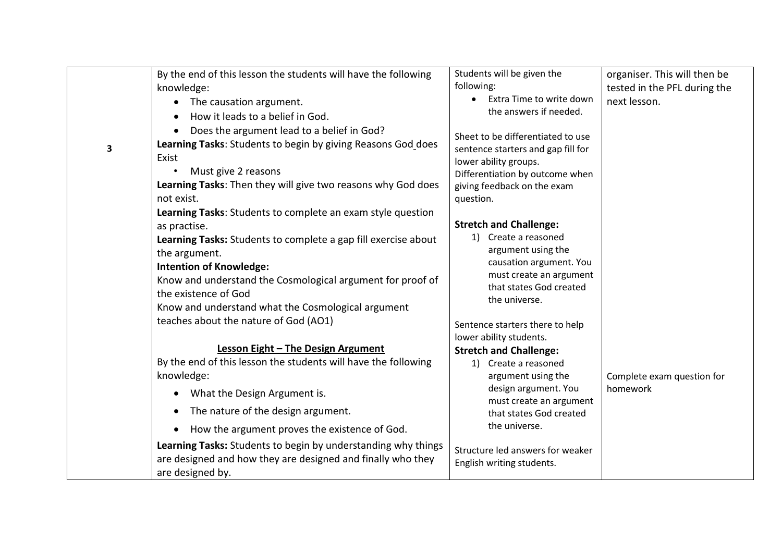|   | By the end of this lesson the students will have the following                                                                                   | Students will be given the                                    | organiser. This will then be |
|---|--------------------------------------------------------------------------------------------------------------------------------------------------|---------------------------------------------------------------|------------------------------|
|   | knowledge:                                                                                                                                       | following:                                                    | tested in the PFL during the |
|   | The causation argument.<br>$\bullet$                                                                                                             | Extra Time to write down                                      | next lesson.                 |
|   | How it leads to a belief in God.<br>$\bullet$                                                                                                    | the answers if needed.                                        |                              |
|   | Does the argument lead to a belief in God?                                                                                                       |                                                               |                              |
| 3 | Learning Tasks: Students to begin by giving Reasons God does                                                                                     | Sheet to be differentiated to use                             |                              |
|   | Exist                                                                                                                                            | sentence starters and gap fill for<br>lower ability groups.   |                              |
|   | Must give 2 reasons                                                                                                                              | Differentiation by outcome when                               |                              |
|   | Learning Tasks: Then they will give two reasons why God does                                                                                     | giving feedback on the exam                                   |                              |
|   | not exist.                                                                                                                                       | question.                                                     |                              |
|   | Learning Tasks: Students to complete an exam style question                                                                                      |                                                               |                              |
|   | as practise.                                                                                                                                     | <b>Stretch and Challenge:</b>                                 |                              |
|   | Learning Tasks: Students to complete a gap fill exercise about                                                                                   | 1) Create a reasoned                                          |                              |
|   | the argument.                                                                                                                                    | argument using the                                            |                              |
|   | <b>Intention of Knowledge:</b>                                                                                                                   | causation argument. You                                       |                              |
|   | Know and understand the Cosmological argument for proof of                                                                                       | must create an argument                                       |                              |
|   |                                                                                                                                                  | that states God created                                       |                              |
|   | the existence of God                                                                                                                             | the universe.                                                 |                              |
|   | Know and understand what the Cosmological argument                                                                                               |                                                               |                              |
|   | teaches about the nature of God (AO1)                                                                                                            | Sentence starters there to help                               |                              |
|   |                                                                                                                                                  | lower ability students.                                       |                              |
|   | <b>Lesson Eight - The Design Argument</b>                                                                                                        | <b>Stretch and Challenge:</b>                                 |                              |
|   | By the end of this lesson the students will have the following                                                                                   | 1) Create a reasoned                                          |                              |
|   | knowledge:                                                                                                                                       | argument using the                                            | Complete exam question for   |
|   | What the Design Argument is.<br>$\bullet$                                                                                                        | design argument. You<br>must create an argument               | homework                     |
|   | The nature of the design argument.<br>$\bullet$                                                                                                  | that states God created                                       |                              |
|   | How the argument proves the existence of God.<br>$\bullet$                                                                                       | the universe.                                                 |                              |
|   | Learning Tasks: Students to begin by understanding why things<br>are designed and how they are designed and finally who they<br>are designed by. | Structure led answers for weaker<br>English writing students. |                              |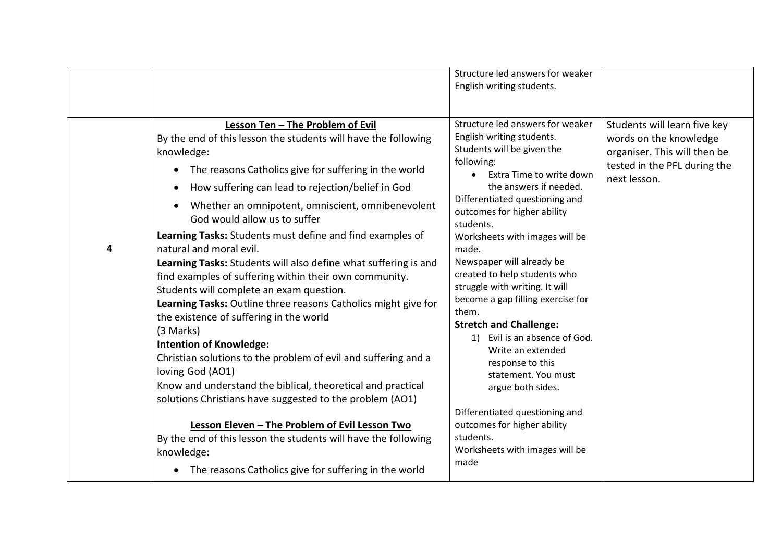|   |                                                                                                                                                                                                                                                                                                                                                                                                                                                                                                                                                                                                                                                                                                                                                                                                                                                                                                                                                                                                                                                                                                                                                                                                     | Structure led answers for weaker<br>English writing students.                                                                                                                                                                                                                                                                                                                                                                                                                                                                                                                                                                                                                                                                        |                                                                                                                                        |
|---|-----------------------------------------------------------------------------------------------------------------------------------------------------------------------------------------------------------------------------------------------------------------------------------------------------------------------------------------------------------------------------------------------------------------------------------------------------------------------------------------------------------------------------------------------------------------------------------------------------------------------------------------------------------------------------------------------------------------------------------------------------------------------------------------------------------------------------------------------------------------------------------------------------------------------------------------------------------------------------------------------------------------------------------------------------------------------------------------------------------------------------------------------------------------------------------------------------|--------------------------------------------------------------------------------------------------------------------------------------------------------------------------------------------------------------------------------------------------------------------------------------------------------------------------------------------------------------------------------------------------------------------------------------------------------------------------------------------------------------------------------------------------------------------------------------------------------------------------------------------------------------------------------------------------------------------------------------|----------------------------------------------------------------------------------------------------------------------------------------|
| 4 | Lesson Ten - The Problem of Evil<br>By the end of this lesson the students will have the following<br>knowledge:<br>The reasons Catholics give for suffering in the world<br>$\bullet$<br>How suffering can lead to rejection/belief in God<br>$\bullet$<br>Whether an omnipotent, omniscient, omnibenevolent<br>God would allow us to suffer<br>Learning Tasks: Students must define and find examples of<br>natural and moral evil.<br>Learning Tasks: Students will also define what suffering is and<br>find examples of suffering within their own community.<br>Students will complete an exam question.<br>Learning Tasks: Outline three reasons Catholics might give for<br>the existence of suffering in the world<br>(3 Marks)<br><b>Intention of Knowledge:</b><br>Christian solutions to the problem of evil and suffering and a<br>loving God (AO1)<br>Know and understand the biblical, theoretical and practical<br>solutions Christians have suggested to the problem (AO1)<br>Lesson Eleven - The Problem of Evil Lesson Two<br>By the end of this lesson the students will have the following<br>knowledge:<br>The reasons Catholics give for suffering in the world<br>$\bullet$ | Structure led answers for weaker<br>English writing students.<br>Students will be given the<br>following:<br>Extra Time to write down<br>$\bullet$<br>the answers if needed.<br>Differentiated questioning and<br>outcomes for higher ability<br>students.<br>Worksheets with images will be<br>made.<br>Newspaper will already be<br>created to help students who<br>struggle with writing. It will<br>become a gap filling exercise for<br>them.<br><b>Stretch and Challenge:</b><br>Evil is an absence of God.<br>1)<br>Write an extended<br>response to this<br>statement. You must<br>argue both sides.<br>Differentiated questioning and<br>outcomes for higher ability<br>students.<br>Worksheets with images will be<br>made | Students will learn five key<br>words on the knowledge<br>organiser. This will then be<br>tested in the PFL during the<br>next lesson. |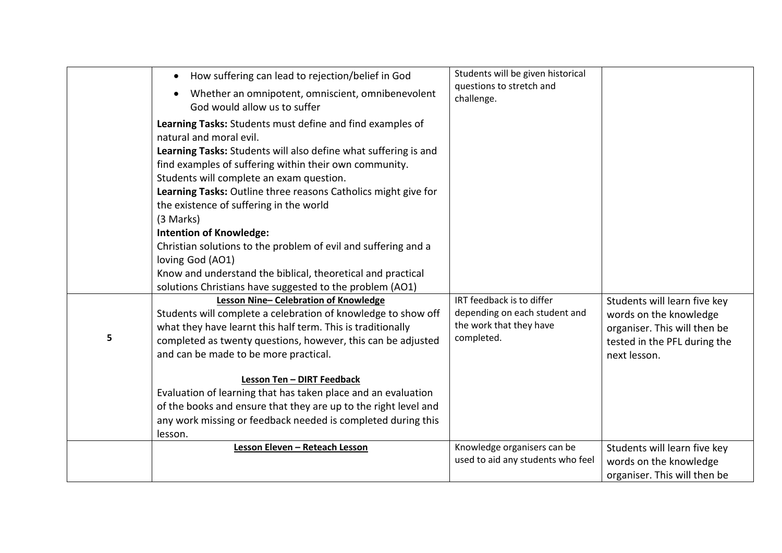|   | How suffering can lead to rejection/belief in God<br>$\bullet$                                                              | Students will be given historical<br>questions to stretch and    |                                                              |
|---|-----------------------------------------------------------------------------------------------------------------------------|------------------------------------------------------------------|--------------------------------------------------------------|
|   | Whether an omnipotent, omniscient, omnibenevolent<br>God would allow us to suffer                                           | challenge.                                                       |                                                              |
|   | Learning Tasks: Students must define and find examples of<br>natural and moral evil.                                        |                                                                  |                                                              |
|   | Learning Tasks: Students will also define what suffering is and<br>find examples of suffering within their own community.   |                                                                  |                                                              |
|   | Students will complete an exam question.<br>Learning Tasks: Outline three reasons Catholics might give for                  |                                                                  |                                                              |
|   | the existence of suffering in the world<br>(3 Marks)                                                                        |                                                                  |                                                              |
|   | <b>Intention of Knowledge:</b>                                                                                              |                                                                  |                                                              |
|   | Christian solutions to the problem of evil and suffering and a<br>loving God (AO1)                                          |                                                                  |                                                              |
|   | Know and understand the biblical, theoretical and practical<br>solutions Christians have suggested to the problem (AO1)     |                                                                  |                                                              |
|   | Lesson Nine-Celebration of Knowledge<br>Students will complete a celebration of knowledge to show off                       | IRT feedback is to differ<br>depending on each student and       | Students will learn five key<br>words on the knowledge       |
| 5 | what they have learnt this half term. This is traditionally<br>completed as twenty questions, however, this can be adjusted | the work that they have<br>completed.                            | organiser. This will then be<br>tested in the PFL during the |
|   | and can be made to be more practical.                                                                                       |                                                                  | next lesson.                                                 |
|   | Lesson Ten - DIRT Feedback<br>Evaluation of learning that has taken place and an evaluation                                 |                                                                  |                                                              |
|   | of the books and ensure that they are up to the right level and                                                             |                                                                  |                                                              |
|   | any work missing or feedback needed is completed during this<br>lesson.                                                     |                                                                  |                                                              |
|   | Lesson Eleven - Reteach Lesson                                                                                              | Knowledge organisers can be<br>used to aid any students who feel | Students will learn five key<br>words on the knowledge       |
|   |                                                                                                                             |                                                                  | organiser. This will then be                                 |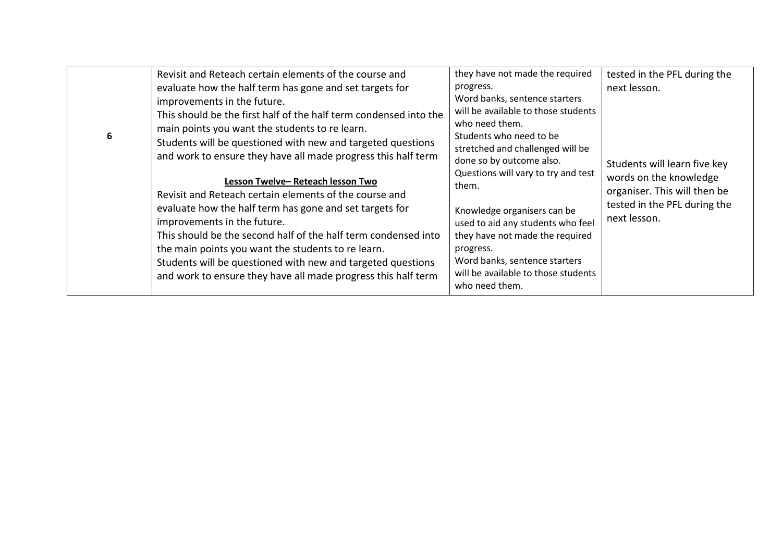|   | Revisit and Reteach certain elements of the course and                                                                                                                                                                                                                                                                                                                                                                                                                                                                                                                                                                                                                                                                                                                                        | they have not made the required                                                                                                                                                                                                                                                                                                                                                                                                                              | tested in the PFL during the                                                                                                                           |
|---|-----------------------------------------------------------------------------------------------------------------------------------------------------------------------------------------------------------------------------------------------------------------------------------------------------------------------------------------------------------------------------------------------------------------------------------------------------------------------------------------------------------------------------------------------------------------------------------------------------------------------------------------------------------------------------------------------------------------------------------------------------------------------------------------------|--------------------------------------------------------------------------------------------------------------------------------------------------------------------------------------------------------------------------------------------------------------------------------------------------------------------------------------------------------------------------------------------------------------------------------------------------------------|--------------------------------------------------------------------------------------------------------------------------------------------------------|
| 6 | evaluate how the half term has gone and set targets for<br>improvements in the future.<br>This should be the first half of the half term condensed into the<br>main points you want the students to re learn.<br>Students will be questioned with new and targeted questions<br>and work to ensure they have all made progress this half term<br>Lesson Twelve-Reteach lesson Two<br>Revisit and Reteach certain elements of the course and<br>evaluate how the half term has gone and set targets for<br>improvements in the future.<br>This should be the second half of the half term condensed into<br>the main points you want the students to re learn.<br>Students will be questioned with new and targeted questions<br>and work to ensure they have all made progress this half term | progress.<br>Word banks, sentence starters<br>will be available to those students<br>who need them.<br>Students who need to be<br>stretched and challenged will be<br>done so by outcome also.<br>Questions will vary to try and test<br>them.<br>Knowledge organisers can be<br>used to aid any students who feel<br>they have not made the required<br>progress.<br>Word banks, sentence starters<br>will be available to those students<br>who need them. | next lesson.<br>Students will learn five key<br>words on the knowledge<br>organiser. This will then be<br>tested in the PFL during the<br>next lesson. |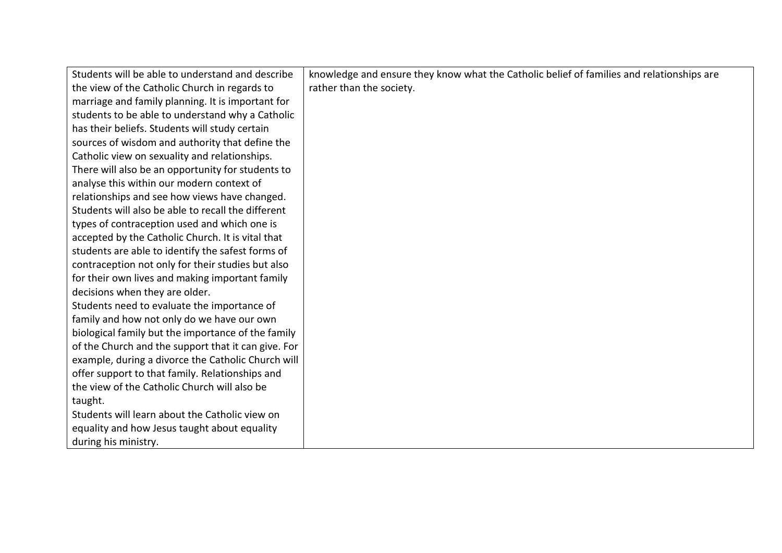| Students will be able to understand and describe    | knowledge and ensure they know what the Catholic belief of families and relationships are |
|-----------------------------------------------------|-------------------------------------------------------------------------------------------|
| the view of the Catholic Church in regards to       | rather than the society.                                                                  |
| marriage and family planning. It is important for   |                                                                                           |
| students to be able to understand why a Catholic    |                                                                                           |
| has their beliefs. Students will study certain      |                                                                                           |
| sources of wisdom and authority that define the     |                                                                                           |
| Catholic view on sexuality and relationships.       |                                                                                           |
| There will also be an opportunity for students to   |                                                                                           |
| analyse this within our modern context of           |                                                                                           |
| relationships and see how views have changed.       |                                                                                           |
| Students will also be able to recall the different  |                                                                                           |
| types of contraception used and which one is        |                                                                                           |
| accepted by the Catholic Church. It is vital that   |                                                                                           |
| students are able to identify the safest forms of   |                                                                                           |
| contraception not only for their studies but also   |                                                                                           |
| for their own lives and making important family     |                                                                                           |
| decisions when they are older.                      |                                                                                           |
| Students need to evaluate the importance of         |                                                                                           |
| family and how not only do we have our own          |                                                                                           |
| biological family but the importance of the family  |                                                                                           |
| of the Church and the support that it can give. For |                                                                                           |
| example, during a divorce the Catholic Church will  |                                                                                           |
| offer support to that family. Relationships and     |                                                                                           |
| the view of the Catholic Church will also be        |                                                                                           |
| taught.                                             |                                                                                           |
| Students will learn about the Catholic view on      |                                                                                           |
| equality and how Jesus taught about equality        |                                                                                           |
| during his ministry.                                |                                                                                           |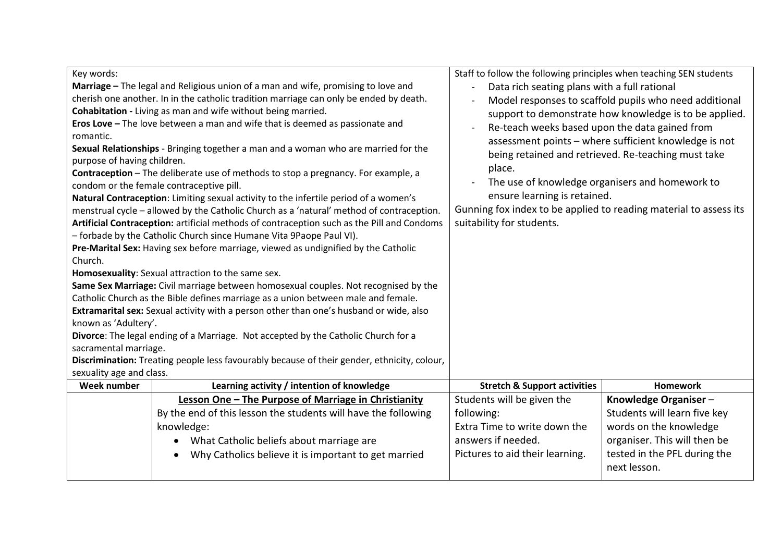| Key words:<br>Marriage - The legal and Religious union of a man and wife, promising to love and<br>cherish one another. In in the catholic tradition marriage can only be ended by death.<br>Cohabitation - Living as man and wife without being married.<br>Eros Love - The love between a man and wife that is deemed as passionate and<br>romantic.<br>Sexual Relationships - Bringing together a man and a woman who are married for the<br>purpose of having children.<br>Contraception - The deliberate use of methods to stop a pregnancy. For example, a<br>condom or the female contraceptive pill.<br>Natural Contraception: Limiting sexual activity to the infertile period of a women's<br>menstrual cycle - allowed by the Catholic Church as a 'natural' method of contraception.<br>Artificial Contraception: artificial methods of contraception such as the Pill and Condoms<br>- forbade by the Catholic Church since Humane Vita 9Paope Paul VI).<br>Pre-Marital Sex: Having sex before marriage, viewed as undignified by the Catholic<br>Church.<br>Homosexuality: Sexual attraction to the same sex.<br>Same Sex Marriage: Civil marriage between homosexual couples. Not recognised by the<br>Catholic Church as the Bible defines marriage as a union between male and female.<br>Extramarital sex: Sexual activity with a person other than one's husband or wide, also<br>known as 'Adultery'.<br>Divorce: The legal ending of a Marriage. Not accepted by the Catholic Church for a<br>sacramental marriage.<br>Discrimination: Treating people less favourably because of their gender, ethnicity, colour,<br>sexuality age and class.<br>Week number<br>Learning activity / intention of knowledge |                                                      | Staff to follow the following principles when teaching SEN students<br>Data rich seating plans with a full rational<br>$\overline{a}$<br>Model responses to scaffold pupils who need additional<br>support to demonstrate how knowledge is to be applied.<br>Re-teach weeks based upon the data gained from<br>assessment points - where sufficient knowledge is not<br>being retained and retrieved. Re-teaching must take<br>place.<br>The use of knowledge organisers and homework to<br>ensure learning is retained.<br>Gunning fox index to be applied to reading material to assess its<br>suitability for students. |                                              |
|----------------------------------------------------------------------------------------------------------------------------------------------------------------------------------------------------------------------------------------------------------------------------------------------------------------------------------------------------------------------------------------------------------------------------------------------------------------------------------------------------------------------------------------------------------------------------------------------------------------------------------------------------------------------------------------------------------------------------------------------------------------------------------------------------------------------------------------------------------------------------------------------------------------------------------------------------------------------------------------------------------------------------------------------------------------------------------------------------------------------------------------------------------------------------------------------------------------------------------------------------------------------------------------------------------------------------------------------------------------------------------------------------------------------------------------------------------------------------------------------------------------------------------------------------------------------------------------------------------------------------------------------------------------------------------------------------------------------------------|------------------------------------------------------|----------------------------------------------------------------------------------------------------------------------------------------------------------------------------------------------------------------------------------------------------------------------------------------------------------------------------------------------------------------------------------------------------------------------------------------------------------------------------------------------------------------------------------------------------------------------------------------------------------------------------|----------------------------------------------|
|                                                                                                                                                                                                                                                                                                                                                                                                                                                                                                                                                                                                                                                                                                                                                                                                                                                                                                                                                                                                                                                                                                                                                                                                                                                                                                                                                                                                                                                                                                                                                                                                                                                                                                                                  |                                                      | <b>Stretch &amp; Support activities</b>                                                                                                                                                                                                                                                                                                                                                                                                                                                                                                                                                                                    | <b>Homework</b>                              |
|                                                                                                                                                                                                                                                                                                                                                                                                                                                                                                                                                                                                                                                                                                                                                                                                                                                                                                                                                                                                                                                                                                                                                                                                                                                                                                                                                                                                                                                                                                                                                                                                                                                                                                                                  | Lesson One - The Purpose of Marriage in Christianity | Students will be given the                                                                                                                                                                                                                                                                                                                                                                                                                                                                                                                                                                                                 | Knowledge Organiser-                         |
| By the end of this lesson the students will have the following                                                                                                                                                                                                                                                                                                                                                                                                                                                                                                                                                                                                                                                                                                                                                                                                                                                                                                                                                                                                                                                                                                                                                                                                                                                                                                                                                                                                                                                                                                                                                                                                                                                                   |                                                      | following:                                                                                                                                                                                                                                                                                                                                                                                                                                                                                                                                                                                                                 | Students will learn five key                 |
| knowledge:                                                                                                                                                                                                                                                                                                                                                                                                                                                                                                                                                                                                                                                                                                                                                                                                                                                                                                                                                                                                                                                                                                                                                                                                                                                                                                                                                                                                                                                                                                                                                                                                                                                                                                                       |                                                      | Extra Time to write down the                                                                                                                                                                                                                                                                                                                                                                                                                                                                                                                                                                                               | words on the knowledge                       |
|                                                                                                                                                                                                                                                                                                                                                                                                                                                                                                                                                                                                                                                                                                                                                                                                                                                                                                                                                                                                                                                                                                                                                                                                                                                                                                                                                                                                                                                                                                                                                                                                                                                                                                                                  | What Catholic beliefs about marriage are             | answers if needed.                                                                                                                                                                                                                                                                                                                                                                                                                                                                                                                                                                                                         | organiser. This will then be                 |
|                                                                                                                                                                                                                                                                                                                                                                                                                                                                                                                                                                                                                                                                                                                                                                                                                                                                                                                                                                                                                                                                                                                                                                                                                                                                                                                                                                                                                                                                                                                                                                                                                                                                                                                                  | Why Catholics believe it is important to get married | Pictures to aid their learning.                                                                                                                                                                                                                                                                                                                                                                                                                                                                                                                                                                                            | tested in the PFL during the<br>next lesson. |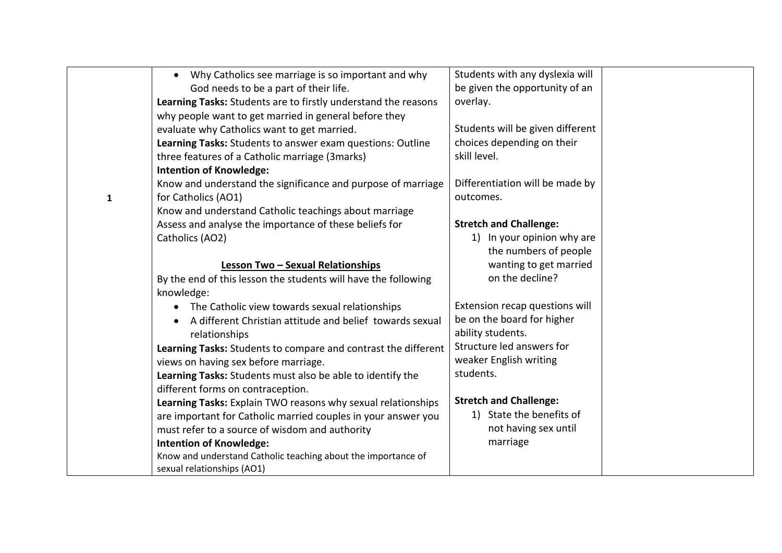|              | Why Catholics see marriage is so important and why<br>$\bullet$ | Students with any dyslexia will  |  |
|--------------|-----------------------------------------------------------------|----------------------------------|--|
|              | God needs to be a part of their life.                           | be given the opportunity of an   |  |
|              | Learning Tasks: Students are to firstly understand the reasons  | overlay.                         |  |
|              | why people want to get married in general before they           |                                  |  |
|              | evaluate why Catholics want to get married.                     | Students will be given different |  |
|              | Learning Tasks: Students to answer exam questions: Outline      | choices depending on their       |  |
|              | three features of a Catholic marriage (3marks)                  | skill level.                     |  |
|              | <b>Intention of Knowledge:</b>                                  |                                  |  |
|              | Know and understand the significance and purpose of marriage    | Differentiation will be made by  |  |
| $\mathbf{1}$ | for Catholics (AO1)                                             | outcomes.                        |  |
|              | Know and understand Catholic teachings about marriage           |                                  |  |
|              | Assess and analyse the importance of these beliefs for          | <b>Stretch and Challenge:</b>    |  |
|              | Catholics (AO2)                                                 | 1) In your opinion why are       |  |
|              |                                                                 | the numbers of people            |  |
|              | Lesson Two - Sexual Relationships                               | wanting to get married           |  |
|              | By the end of this lesson the students will have the following  | on the decline?                  |  |
|              | knowledge:                                                      |                                  |  |
|              | The Catholic view towards sexual relationships<br>$\bullet$     | Extension recap questions will   |  |
|              | A different Christian attitude and belief towards sexual        | be on the board for higher       |  |
|              | relationships                                                   | ability students.                |  |
|              | Learning Tasks: Students to compare and contrast the different  | Structure led answers for        |  |
|              | views on having sex before marriage.                            | weaker English writing           |  |
|              | Learning Tasks: Students must also be able to identify the      | students.                        |  |
|              | different forms on contraception.                               |                                  |  |
|              | Learning Tasks: Explain TWO reasons why sexual relationships    | <b>Stretch and Challenge:</b>    |  |
|              | are important for Catholic married couples in your answer you   | 1) State the benefits of         |  |
|              | must refer to a source of wisdom and authority                  | not having sex until             |  |
|              | <b>Intention of Knowledge:</b>                                  | marriage                         |  |
|              | Know and understand Catholic teaching about the importance of   |                                  |  |
|              | sexual relationships (AO1)                                      |                                  |  |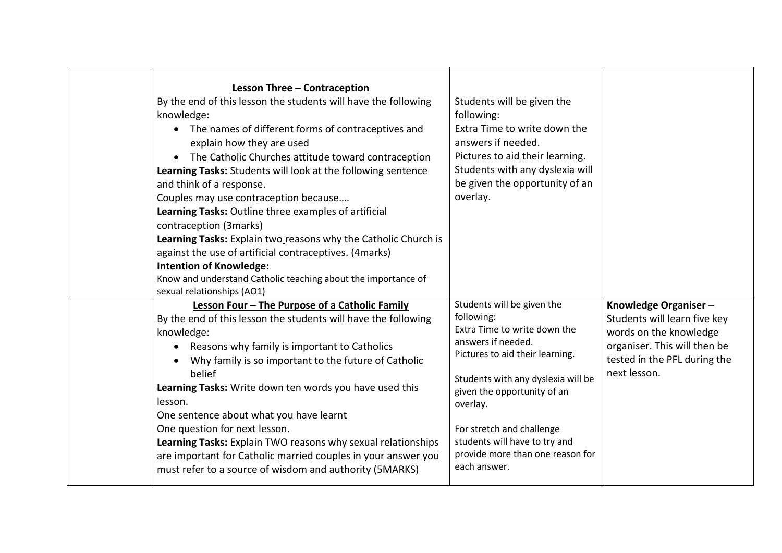| <b>Lesson Three - Contraception</b><br>By the end of this lesson the students will have the following<br>knowledge:<br>The names of different forms of contraceptives and<br>explain how they are used<br>The Catholic Churches attitude toward contraception<br>$\bullet$<br>Learning Tasks: Students will look at the following sentence<br>and think of a response.<br>Couples may use contraception because<br>Learning Tasks: Outline three examples of artificial<br>contraception (3marks)<br>Learning Tasks: Explain two reasons why the Catholic Church is<br>against the use of artificial contraceptives. (4marks)<br><b>Intention of Knowledge:</b><br>Know and understand Catholic teaching about the importance of<br>sexual relationships (AO1) | Students will be given the<br>following:<br>Extra Time to write down the<br>answers if needed.<br>Pictures to aid their learning.<br>Students with any dyslexia will<br>be given the opportunity of an<br>overlay.                                                                                                                   |                                                                                                                                                                |
|----------------------------------------------------------------------------------------------------------------------------------------------------------------------------------------------------------------------------------------------------------------------------------------------------------------------------------------------------------------------------------------------------------------------------------------------------------------------------------------------------------------------------------------------------------------------------------------------------------------------------------------------------------------------------------------------------------------------------------------------------------------|--------------------------------------------------------------------------------------------------------------------------------------------------------------------------------------------------------------------------------------------------------------------------------------------------------------------------------------|----------------------------------------------------------------------------------------------------------------------------------------------------------------|
| Lesson Four - The Purpose of a Catholic Family<br>By the end of this lesson the students will have the following<br>knowledge:<br>Reasons why family is important to Catholics<br>$\bullet$<br>Why family is so important to the future of Catholic<br>$\bullet$<br>belief<br>Learning Tasks: Write down ten words you have used this<br>lesson.<br>One sentence about what you have learnt<br>One question for next lesson.<br>Learning Tasks: Explain TWO reasons why sexual relationships<br>are important for Catholic married couples in your answer you<br>must refer to a source of wisdom and authority (5MARKS)                                                                                                                                       | Students will be given the<br>following:<br>Extra Time to write down the<br>answers if needed.<br>Pictures to aid their learning.<br>Students with any dyslexia will be<br>given the opportunity of an<br>overlay.<br>For stretch and challenge<br>students will have to try and<br>provide more than one reason for<br>each answer. | Knowledge Organiser-<br>Students will learn five key<br>words on the knowledge<br>organiser. This will then be<br>tested in the PFL during the<br>next lesson. |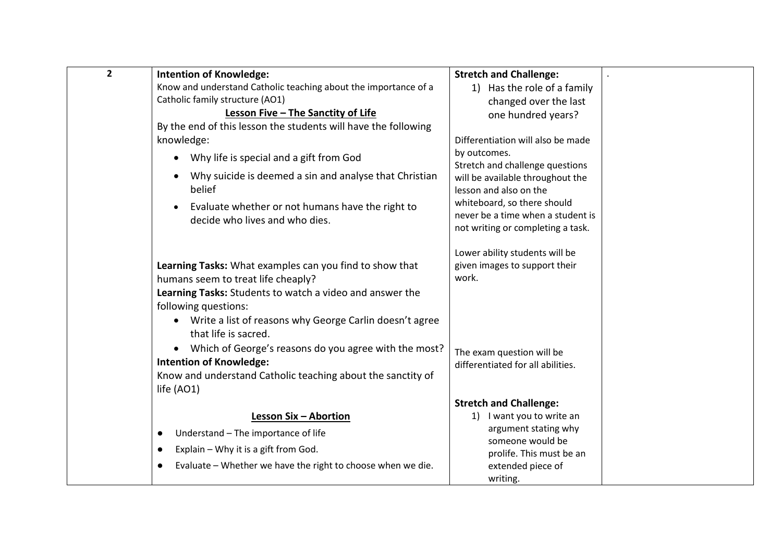| $\overline{2}$ | <b>Intention of Knowledge:</b>                                       | <b>Stretch and Challenge:</b>                   |  |
|----------------|----------------------------------------------------------------------|-------------------------------------------------|--|
|                | Know and understand Catholic teaching about the importance of a      | 1) Has the role of a family                     |  |
|                | Catholic family structure (AO1)                                      | changed over the last                           |  |
|                | Lesson Five - The Sanctity of Life                                   | one hundred years?                              |  |
|                | By the end of this lesson the students will have the following       |                                                 |  |
|                | knowledge:                                                           | Differentiation will also be made               |  |
|                | Why life is special and a gift from God                              | by outcomes.<br>Stretch and challenge questions |  |
|                | Why suicide is deemed a sin and analyse that Christian               | will be available throughout the                |  |
|                | belief                                                               | lesson and also on the                          |  |
|                | Evaluate whether or not humans have the right to<br>$\bullet$        | whiteboard, so there should                     |  |
|                | decide who lives and who dies.                                       | never be a time when a student is               |  |
|                |                                                                      | not writing or completing a task.               |  |
|                |                                                                      | Lower ability students will be                  |  |
|                | Learning Tasks: What examples can you find to show that              | given images to support their                   |  |
|                | humans seem to treat life cheaply?                                   | work.                                           |  |
|                | Learning Tasks: Students to watch a video and answer the             |                                                 |  |
|                | following questions:                                                 |                                                 |  |
|                | Write a list of reasons why George Carlin doesn't agree<br>$\bullet$ |                                                 |  |
|                | that life is sacred.                                                 |                                                 |  |
|                | Which of George's reasons do you agree with the most?<br>$\bullet$   | The exam question will be                       |  |
|                | <b>Intention of Knowledge:</b>                                       | differentiated for all abilities.               |  |
|                | Know and understand Catholic teaching about the sanctity of          |                                                 |  |
|                | life (AO1)                                                           |                                                 |  |
|                |                                                                      | <b>Stretch and Challenge:</b>                   |  |
|                | Lesson Six - Abortion                                                | I want you to write an<br>1)                    |  |
|                | Understand - The importance of life<br>$\bullet$                     | argument stating why<br>someone would be        |  |
|                | Explain - Why it is a gift from God.<br>$\bullet$                    | prolife. This must be an                        |  |
|                | Evaluate - Whether we have the right to choose when we die.          | extended piece of                               |  |
|                |                                                                      | writing.                                        |  |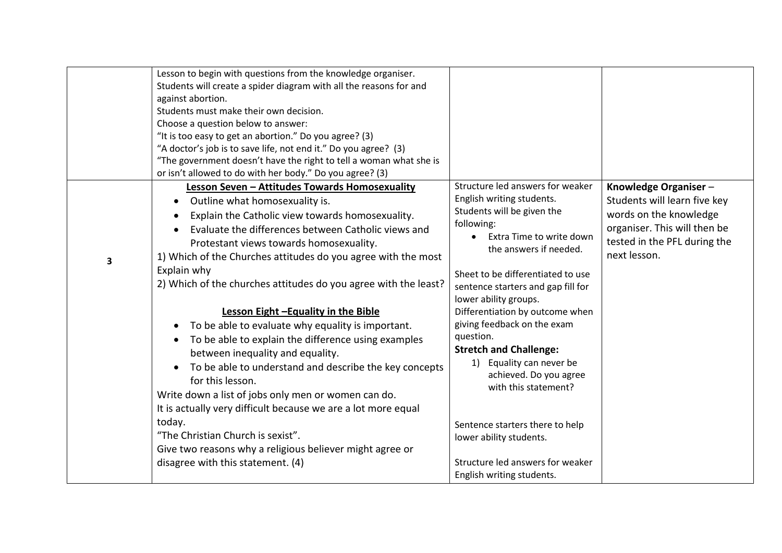|   | Lesson to begin with questions from the knowledge organiser.       |                                                    |                              |
|---|--------------------------------------------------------------------|----------------------------------------------------|------------------------------|
|   | Students will create a spider diagram with all the reasons for and |                                                    |                              |
|   | against abortion.                                                  |                                                    |                              |
|   | Students must make their own decision.                             |                                                    |                              |
|   | Choose a question below to answer:                                 |                                                    |                              |
|   | "It is too easy to get an abortion." Do you agree? (3)             |                                                    |                              |
|   | "A doctor's job is to save life, not end it." Do you agree? (3)    |                                                    |                              |
|   | "The government doesn't have the right to tell a woman what she is |                                                    |                              |
|   | or isn't allowed to do with her body." Do you agree? (3)           |                                                    |                              |
|   | Lesson Seven - Attitudes Towards Homosexuality                     | Structure led answers for weaker                   | Knowledge Organiser-         |
|   | Outline what homosexuality is.                                     | English writing students.                          | Students will learn five key |
|   | Explain the Catholic view towards homosexuality.                   | Students will be given the                         | words on the knowledge       |
|   | Evaluate the differences between Catholic views and                | following:                                         | organiser. This will then be |
|   | Protestant views towards homosexuality.                            | Extra Time to write down<br>the answers if needed. | tested in the PFL during the |
| 3 | 1) Which of the Churches attitudes do you agree with the most      |                                                    | next lesson.                 |
|   | Explain why                                                        | Sheet to be differentiated to use                  |                              |
|   | 2) Which of the churches attitudes do you agree with the least?    | sentence starters and gap fill for                 |                              |
|   |                                                                    | lower ability groups.                              |                              |
|   | Lesson Eight -Equality in the Bible                                | Differentiation by outcome when                    |                              |
|   | To be able to evaluate why equality is important.                  | giving feedback on the exam                        |                              |
|   | To be able to explain the difference using examples                | question.                                          |                              |
|   | between inequality and equality.                                   | <b>Stretch and Challenge:</b>                      |                              |
|   |                                                                    | 1) Equality can never be                           |                              |
|   | To be able to understand and describe the key concepts             | achieved. Do you agree                             |                              |
|   | for this lesson.                                                   | with this statement?                               |                              |
|   | Write down a list of jobs only men or women can do.                |                                                    |                              |
|   | It is actually very difficult because we are a lot more equal      |                                                    |                              |
|   | today.                                                             | Sentence starters there to help                    |                              |
|   | "The Christian Church is sexist".                                  | lower ability students.                            |                              |
|   | Give two reasons why a religious believer might agree or           |                                                    |                              |
|   | disagree with this statement. (4)                                  | Structure led answers for weaker                   |                              |
|   |                                                                    | English writing students.                          |                              |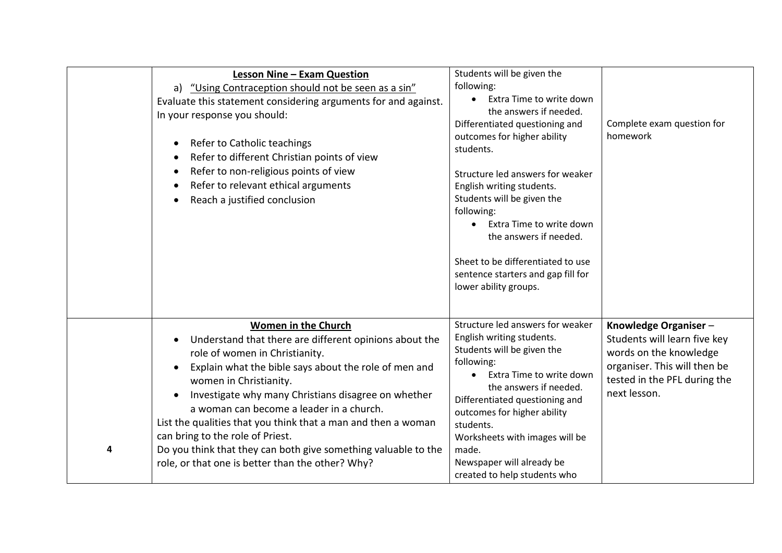|   | <b>Lesson Nine - Exam Question</b><br>a) "Using Contraception should not be seen as a sin"<br>Evaluate this statement considering arguments for and against.<br>In your response you should:<br>Refer to Catholic teachings<br>Refer to different Christian points of view<br>Refer to non-religious points of view<br>Refer to relevant ethical arguments<br>Reach a justified conclusion                                                                                                                                       | Students will be given the<br>following:<br>Extra Time to write down<br>the answers if needed.<br>Differentiated questioning and<br>outcomes for higher ability<br>students.<br>Structure led answers for weaker<br>English writing students.<br>Students will be given the<br>following:<br>Extra Time to write down<br>the answers if needed.<br>Sheet to be differentiated to use<br>sentence starters and gap fill for<br>lower ability groups. | Complete exam question for<br>homework                                                                                                                         |
|---|----------------------------------------------------------------------------------------------------------------------------------------------------------------------------------------------------------------------------------------------------------------------------------------------------------------------------------------------------------------------------------------------------------------------------------------------------------------------------------------------------------------------------------|-----------------------------------------------------------------------------------------------------------------------------------------------------------------------------------------------------------------------------------------------------------------------------------------------------------------------------------------------------------------------------------------------------------------------------------------------------|----------------------------------------------------------------------------------------------------------------------------------------------------------------|
| 4 | Women in the Church<br>Understand that there are different opinions about the<br>role of women in Christianity.<br>Explain what the bible says about the role of men and<br>women in Christianity.<br>Investigate why many Christians disagree on whether<br>a woman can become a leader in a church.<br>List the qualities that you think that a man and then a woman<br>can bring to the role of Priest.<br>Do you think that they can both give something valuable to the<br>role, or that one is better than the other? Why? | Structure led answers for weaker<br>English writing students.<br>Students will be given the<br>following:<br>Extra Time to write down<br>the answers if needed.<br>Differentiated questioning and<br>outcomes for higher ability<br>students.<br>Worksheets with images will be<br>made.<br>Newspaper will already be<br>created to help students who                                                                                               | Knowledge Organiser-<br>Students will learn five key<br>words on the knowledge<br>organiser. This will then be<br>tested in the PFL during the<br>next lesson. |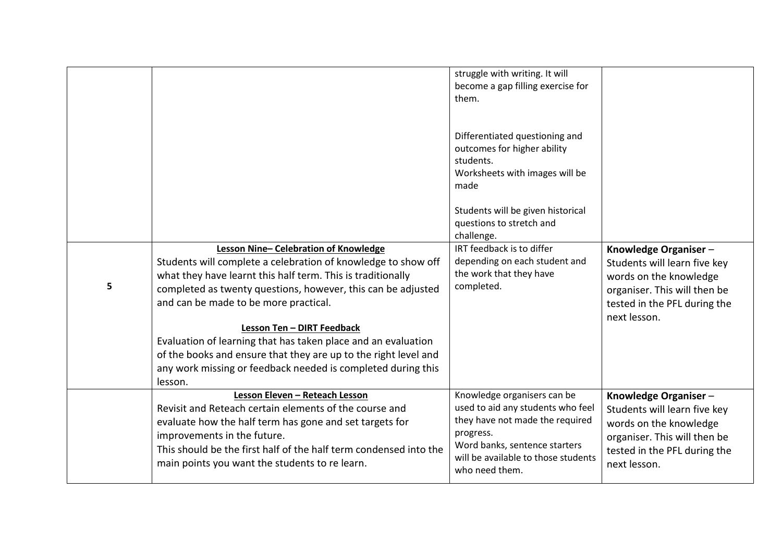| 5 | Lesson Nine-Celebration of Knowledge<br>Students will complete a celebration of knowledge to show off<br>what they have learnt this half term. This is traditionally<br>completed as twenty questions, however, this can be adjusted<br>and can be made to be more practical.<br>Lesson Ten - DIRT Feedback<br>Evaluation of learning that has taken place and an evaluation<br>of the books and ensure that they are up to the right level and<br>any work missing or feedback needed is completed during this<br>lesson. | struggle with writing. It will<br>become a gap filling exercise for<br>them.<br>Differentiated questioning and<br>outcomes for higher ability<br>students.<br>Worksheets with images will be<br>made<br>Students will be given historical<br>questions to stretch and<br>challenge.<br>IRT feedback is to differ<br>depending on each student and<br>the work that they have<br>completed. | Knowledge Organiser-<br>Students will learn five key<br>words on the knowledge<br>organiser. This will then be<br>tested in the PFL during the<br>next lesson. |
|---|----------------------------------------------------------------------------------------------------------------------------------------------------------------------------------------------------------------------------------------------------------------------------------------------------------------------------------------------------------------------------------------------------------------------------------------------------------------------------------------------------------------------------|--------------------------------------------------------------------------------------------------------------------------------------------------------------------------------------------------------------------------------------------------------------------------------------------------------------------------------------------------------------------------------------------|----------------------------------------------------------------------------------------------------------------------------------------------------------------|
|   | Lesson Eleven - Reteach Lesson<br>Revisit and Reteach certain elements of the course and<br>evaluate how the half term has gone and set targets for<br>improvements in the future.<br>This should be the first half of the half term condensed into the<br>main points you want the students to re learn.                                                                                                                                                                                                                  | Knowledge organisers can be<br>used to aid any students who feel<br>they have not made the required<br>progress.<br>Word banks, sentence starters<br>will be available to those students<br>who need them.                                                                                                                                                                                 | Knowledge Organiser-<br>Students will learn five key<br>words on the knowledge<br>organiser. This will then be<br>tested in the PFL during the<br>next lesson. |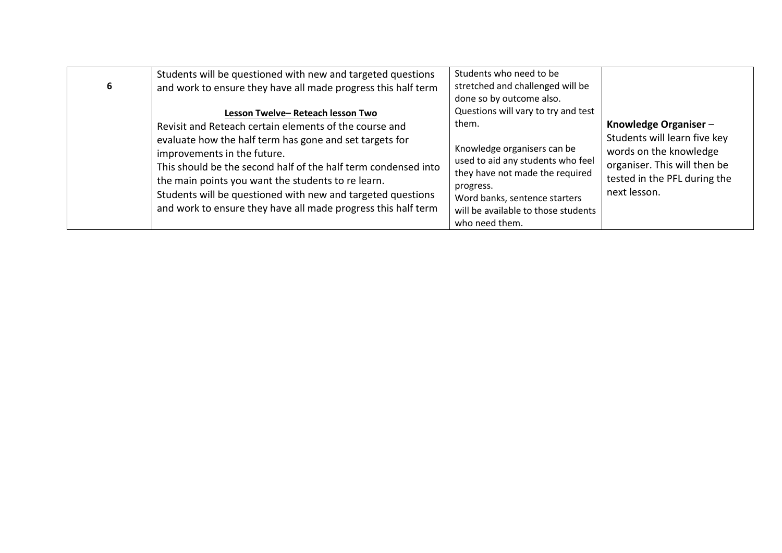| 6 | Students will be questioned with new and targeted questions<br>and work to ensure they have all made progress this half term                                                                                                                                                        | Students who need to be<br>stretched and challenged will be<br>done so by outcome also.                                                                                                                    |                                                                                                        |
|---|-------------------------------------------------------------------------------------------------------------------------------------------------------------------------------------------------------------------------------------------------------------------------------------|------------------------------------------------------------------------------------------------------------------------------------------------------------------------------------------------------------|--------------------------------------------------------------------------------------------------------|
|   | Lesson Twelve-Reteach lesson Two<br>Revisit and Reteach certain elements of the course and<br>evaluate how the half term has gone and set targets for                                                                                                                               | Questions will vary to try and test<br>them.                                                                                                                                                               | Knowledge Organiser-<br>Students will learn five key                                                   |
|   | improvements in the future.<br>This should be the second half of the half term condensed into<br>the main points you want the students to re learn.<br>Students will be questioned with new and targeted questions<br>and work to ensure they have all made progress this half term | Knowledge organisers can be<br>used to aid any students who feel<br>they have not made the required<br>progress.<br>Word banks, sentence starters<br>will be available to those students<br>who need them. | words on the knowledge<br>organiser. This will then be<br>tested in the PFL during the<br>next lesson. |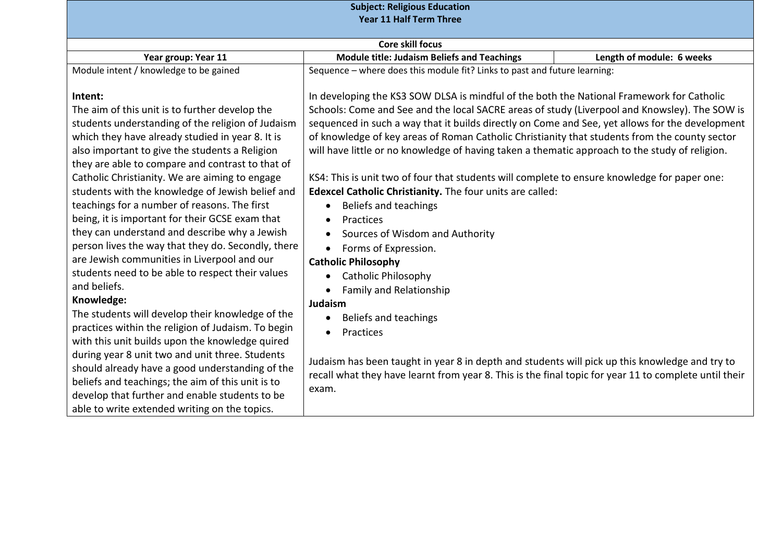| <b>Subject: Religious Education</b>                                                                                                                                                                                                                                                                                                                                                                                                                                                                                                                                                                                                                                                                                                                                                                                                                                                                                                                                                                                                                                                                                                                  |                                                                                                                                                                                                                                                                                                                                                                                                                                                                                                                                                                                                                                                                                                                                                                                                                                                                                                                                                                                                                                                                                                                                                                                                                              |                           |
|------------------------------------------------------------------------------------------------------------------------------------------------------------------------------------------------------------------------------------------------------------------------------------------------------------------------------------------------------------------------------------------------------------------------------------------------------------------------------------------------------------------------------------------------------------------------------------------------------------------------------------------------------------------------------------------------------------------------------------------------------------------------------------------------------------------------------------------------------------------------------------------------------------------------------------------------------------------------------------------------------------------------------------------------------------------------------------------------------------------------------------------------------|------------------------------------------------------------------------------------------------------------------------------------------------------------------------------------------------------------------------------------------------------------------------------------------------------------------------------------------------------------------------------------------------------------------------------------------------------------------------------------------------------------------------------------------------------------------------------------------------------------------------------------------------------------------------------------------------------------------------------------------------------------------------------------------------------------------------------------------------------------------------------------------------------------------------------------------------------------------------------------------------------------------------------------------------------------------------------------------------------------------------------------------------------------------------------------------------------------------------------|---------------------------|
|                                                                                                                                                                                                                                                                                                                                                                                                                                                                                                                                                                                                                                                                                                                                                                                                                                                                                                                                                                                                                                                                                                                                                      | <b>Year 11 Half Term Three</b>                                                                                                                                                                                                                                                                                                                                                                                                                                                                                                                                                                                                                                                                                                                                                                                                                                                                                                                                                                                                                                                                                                                                                                                               |                           |
|                                                                                                                                                                                                                                                                                                                                                                                                                                                                                                                                                                                                                                                                                                                                                                                                                                                                                                                                                                                                                                                                                                                                                      | <b>Core skill focus</b>                                                                                                                                                                                                                                                                                                                                                                                                                                                                                                                                                                                                                                                                                                                                                                                                                                                                                                                                                                                                                                                                                                                                                                                                      |                           |
| Year group: Year 11                                                                                                                                                                                                                                                                                                                                                                                                                                                                                                                                                                                                                                                                                                                                                                                                                                                                                                                                                                                                                                                                                                                                  | <b>Module title: Judaism Beliefs and Teachings</b>                                                                                                                                                                                                                                                                                                                                                                                                                                                                                                                                                                                                                                                                                                                                                                                                                                                                                                                                                                                                                                                                                                                                                                           | Length of module: 6 weeks |
| Module intent / knowledge to be gained                                                                                                                                                                                                                                                                                                                                                                                                                                                                                                                                                                                                                                                                                                                                                                                                                                                                                                                                                                                                                                                                                                               | Sequence - where does this module fit? Links to past and future learning:                                                                                                                                                                                                                                                                                                                                                                                                                                                                                                                                                                                                                                                                                                                                                                                                                                                                                                                                                                                                                                                                                                                                                    |                           |
| Intent:<br>The aim of this unit is to further develop the<br>students understanding of the religion of Judaism<br>which they have already studied in year 8. It is<br>also important to give the students a Religion<br>they are able to compare and contrast to that of<br>Catholic Christianity. We are aiming to engage<br>students with the knowledge of Jewish belief and<br>teachings for a number of reasons. The first<br>being, it is important for their GCSE exam that<br>they can understand and describe why a Jewish<br>person lives the way that they do. Secondly, there<br>are Jewish communities in Liverpool and our<br>students need to be able to respect their values<br>and beliefs.<br>Knowledge:<br>The students will develop their knowledge of the<br>practices within the religion of Judaism. To begin<br>with this unit builds upon the knowledge quired<br>during year 8 unit two and unit three. Students<br>should already have a good understanding of the<br>beliefs and teachings; the aim of this unit is to<br>develop that further and enable students to be<br>able to write extended writing on the topics. | In developing the KS3 SOW DLSA is mindful of the both the National Framework for Catholic<br>Schools: Come and See and the local SACRE areas of study (Liverpool and Knowsley). The SOW is<br>sequenced in such a way that it builds directly on Come and See, yet allows for the development<br>of knowledge of key areas of Roman Catholic Christianity that students from the county sector<br>will have little or no knowledge of having taken a thematic approach to the study of religion.<br>KS4: This is unit two of four that students will complete to ensure knowledge for paper one:<br>Edexcel Catholic Christianity. The four units are called:<br>Beliefs and teachings<br>$\bullet$<br>Practices<br>$\bullet$<br>Sources of Wisdom and Authority<br>$\bullet$<br>Forms of Expression.<br>$\bullet$<br><b>Catholic Philosophy</b><br><b>Catholic Philosophy</b><br>$\bullet$<br><b>Family and Relationship</b><br>Judaism<br>Beliefs and teachings<br>$\bullet$<br>Practices<br>$\bullet$<br>Judaism has been taught in year 8 in depth and students will pick up this knowledge and try to<br>recall what they have learnt from year 8. This is the final topic for year 11 to complete until their<br>exam. |                           |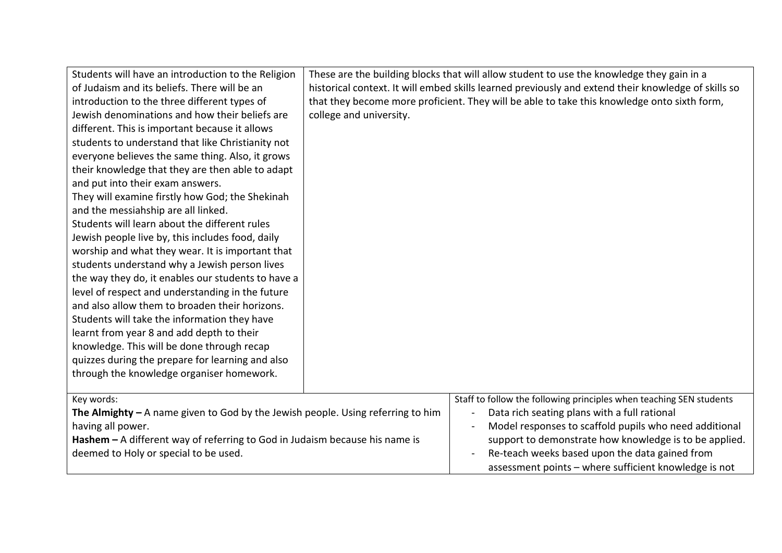| Students will have an introduction to the Religion<br>of Judaism and its beliefs. There will be an<br>introduction to the three different types of<br>Jewish denominations and how their beliefs are<br>different. This is important because it allows<br>students to understand that like Christianity not<br>everyone believes the same thing. Also, it grows<br>their knowledge that they are then able to adapt<br>and put into their exam answers.<br>They will examine firstly how God; the Shekinah<br>and the messiahship are all linked.<br>Students will learn about the different rules<br>Jewish people live by, this includes food, daily<br>worship and what they wear. It is important that<br>students understand why a Jewish person lives<br>the way they do, it enables our students to have a<br>level of respect and understanding in the future<br>and also allow them to broaden their horizons.<br>Students will take the information they have<br>learnt from year 8 and add depth to their<br>knowledge. This will be done through recap<br>quizzes during the prepare for learning and also<br>through the knowledge organiser homework. | These are the building blocks that will allow student to use the knowledge they gain in a<br>historical context. It will embed skills learned previously and extend their knowledge of skills so<br>that they become more proficient. They will be able to take this knowledge onto sixth form,<br>college and university.                         |  |
|---------------------------------------------------------------------------------------------------------------------------------------------------------------------------------------------------------------------------------------------------------------------------------------------------------------------------------------------------------------------------------------------------------------------------------------------------------------------------------------------------------------------------------------------------------------------------------------------------------------------------------------------------------------------------------------------------------------------------------------------------------------------------------------------------------------------------------------------------------------------------------------------------------------------------------------------------------------------------------------------------------------------------------------------------------------------------------------------------------------------------------------------------------------------|----------------------------------------------------------------------------------------------------------------------------------------------------------------------------------------------------------------------------------------------------------------------------------------------------------------------------------------------------|--|
| Key words:<br>The Almighty $-$ A name given to God by the Jewish people. Using referring to him<br>having all power.<br>Hashem $-$ A different way of referring to God in Judaism because his name is<br>deemed to Holy or special to be used.                                                                                                                                                                                                                                                                                                                                                                                                                                                                                                                                                                                                                                                                                                                                                                                                                                                                                                                      | Staff to follow the following principles when teaching SEN students<br>Data rich seating plans with a full rational<br>Model responses to scaffold pupils who need additional<br>support to demonstrate how knowledge is to be applied.<br>Re-teach weeks based upon the data gained from<br>assessment points - where sufficient knowledge is not |  |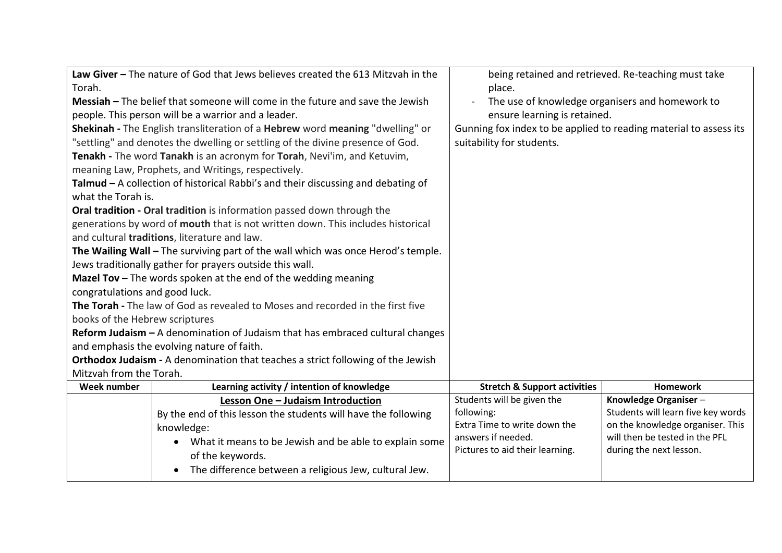| Law Giver - The nature of God that Jews believes created the 613 Mitzvah in the |                                                                                  |                                                                   | being retained and retrieved. Re-teaching must take                |
|---------------------------------------------------------------------------------|----------------------------------------------------------------------------------|-------------------------------------------------------------------|--------------------------------------------------------------------|
| Torah.                                                                          |                                                                                  | place.                                                            |                                                                    |
|                                                                                 | Messiah - The belief that someone will come in the future and save the Jewish    |                                                                   | The use of knowledge organisers and homework to                    |
|                                                                                 | people. This person will be a warrior and a leader.                              | ensure learning is retained.                                      |                                                                    |
|                                                                                 | Shekinah - The English transliteration of a Hebrew word meaning "dwelling" or    | Gunning fox index to be applied to reading material to assess its |                                                                    |
|                                                                                 | "settling" and denotes the dwelling or settling of the divine presence of God.   | suitability for students.                                         |                                                                    |
|                                                                                 | Tenakh - The word Tanakh is an acronym for Torah, Nevi'im, and Ketuvim,          |                                                                   |                                                                    |
|                                                                                 | meaning Law, Prophets, and Writings, respectively.                               |                                                                   |                                                                    |
|                                                                                 | Talmud - A collection of historical Rabbi's and their discussing and debating of |                                                                   |                                                                    |
| what the Torah is.                                                              |                                                                                  |                                                                   |                                                                    |
|                                                                                 | Oral tradition - Oral tradition is information passed down through the           |                                                                   |                                                                    |
|                                                                                 | generations by word of mouth that is not written down. This includes historical  |                                                                   |                                                                    |
|                                                                                 | and cultural traditions, literature and law.                                     |                                                                   |                                                                    |
|                                                                                 | The Wailing Wall - The surviving part of the wall which was once Herod's temple. |                                                                   |                                                                    |
|                                                                                 | Jews traditionally gather for prayers outside this wall.                         |                                                                   |                                                                    |
|                                                                                 | <b>Mazel Tov</b> $-$ The words spoken at the end of the wedding meaning          |                                                                   |                                                                    |
| congratulations and good luck.                                                  |                                                                                  |                                                                   |                                                                    |
|                                                                                 | The Torah - The law of God as revealed to Moses and recorded in the first five   |                                                                   |                                                                    |
| books of the Hebrew scriptures                                                  |                                                                                  |                                                                   |                                                                    |
|                                                                                 | Reform Judaism - A denomination of Judaism that has embraced cultural changes    |                                                                   |                                                                    |
|                                                                                 | and emphasis the evolving nature of faith.                                       |                                                                   |                                                                    |
|                                                                                 | Orthodox Judaism - A denomination that teaches a strict following of the Jewish  |                                                                   |                                                                    |
| Mitzvah from the Torah.                                                         |                                                                                  |                                                                   |                                                                    |
| Learning activity / intention of knowledge<br><b>Week number</b>                |                                                                                  | <b>Stretch &amp; Support activities</b>                           | <b>Homework</b>                                                    |
|                                                                                 | Lesson One - Judaism Introduction                                                | Students will be given the                                        | Knowledge Organiser-                                               |
|                                                                                 | By the end of this lesson the students will have the following                   | following:                                                        | Students will learn five key words                                 |
|                                                                                 | knowledge:                                                                       | Extra Time to write down the                                      | on the knowledge organiser. This<br>will then be tested in the PFL |
|                                                                                 | What it means to be Jewish and be able to explain some<br>$\bullet$              | answers if needed.                                                |                                                                    |
|                                                                                 |                                                                                  |                                                                   |                                                                    |
|                                                                                 | of the keywords.                                                                 | Pictures to aid their learning.                                   | during the next lesson.                                            |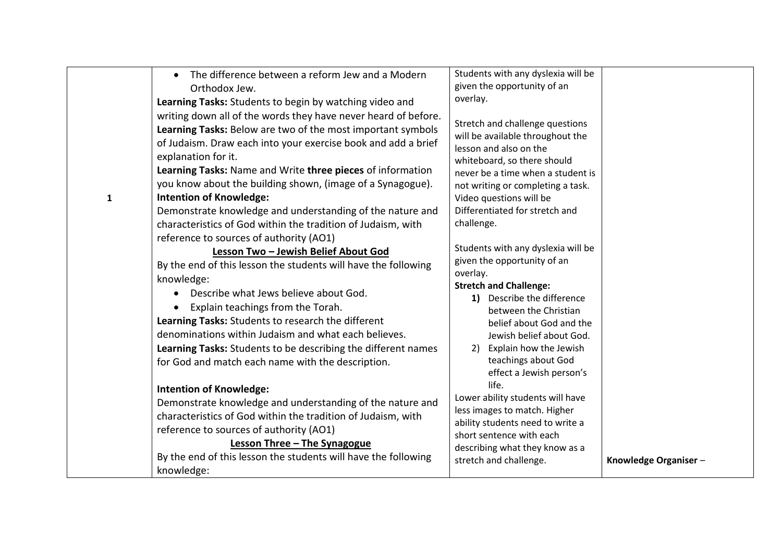|              | The difference between a reform Jew and a Modern<br>$\bullet$                                                                                                                                                                                                                                                                                                                                                                                                                                                                                                                                                                                                                                                                                                                                                                                                                                                                                                                                                                                                                                                                                                                     | Students with any dyslexia will be                                                                                                                                                                                                                                                                                                                                                                                                                                                                                                                                                                                                                                                                   |                      |
|--------------|-----------------------------------------------------------------------------------------------------------------------------------------------------------------------------------------------------------------------------------------------------------------------------------------------------------------------------------------------------------------------------------------------------------------------------------------------------------------------------------------------------------------------------------------------------------------------------------------------------------------------------------------------------------------------------------------------------------------------------------------------------------------------------------------------------------------------------------------------------------------------------------------------------------------------------------------------------------------------------------------------------------------------------------------------------------------------------------------------------------------------------------------------------------------------------------|------------------------------------------------------------------------------------------------------------------------------------------------------------------------------------------------------------------------------------------------------------------------------------------------------------------------------------------------------------------------------------------------------------------------------------------------------------------------------------------------------------------------------------------------------------------------------------------------------------------------------------------------------------------------------------------------------|----------------------|
|              | Orthodox Jew.                                                                                                                                                                                                                                                                                                                                                                                                                                                                                                                                                                                                                                                                                                                                                                                                                                                                                                                                                                                                                                                                                                                                                                     | given the opportunity of an                                                                                                                                                                                                                                                                                                                                                                                                                                                                                                                                                                                                                                                                          |                      |
|              | Learning Tasks: Students to begin by watching video and                                                                                                                                                                                                                                                                                                                                                                                                                                                                                                                                                                                                                                                                                                                                                                                                                                                                                                                                                                                                                                                                                                                           |                                                                                                                                                                                                                                                                                                                                                                                                                                                                                                                                                                                                                                                                                                      |                      |
| $\mathbf{1}$ | writing down all of the words they have never heard of before.<br>Learning Tasks: Below are two of the most important symbols<br>of Judaism. Draw each into your exercise book and add a brief<br>explanation for it.<br>Learning Tasks: Name and Write three pieces of information<br>you know about the building shown, (image of a Synagogue).<br><b>Intention of Knowledge:</b><br>Demonstrate knowledge and understanding of the nature and<br>characteristics of God within the tradition of Judaism, with<br>reference to sources of authority (AO1)<br>Lesson Two - Jewish Belief About God<br>By the end of this lesson the students will have the following<br>knowledge:<br>Describe what Jews believe about God.<br>$\bullet$<br>Explain teachings from the Torah.<br>Learning Tasks: Students to research the different<br>denominations within Judaism and what each believes.<br>Learning Tasks: Students to be describing the different names<br>for God and match each name with the description.<br><b>Intention of Knowledge:</b><br>Demonstrate knowledge and understanding of the nature and<br>characteristics of God within the tradition of Judaism, with | overlay.<br>Stretch and challenge questions<br>will be available throughout the<br>lesson and also on the<br>whiteboard, so there should<br>never be a time when a student is<br>not writing or completing a task.<br>Video questions will be<br>Differentiated for stretch and<br>challenge.<br>Students with any dyslexia will be<br>given the opportunity of an<br>overlay.<br><b>Stretch and Challenge:</b><br>Describe the difference<br><b>1</b><br>between the Christian<br>belief about God and the<br>Jewish belief about God.<br>2) Explain how the Jewish<br>teachings about God<br>effect a Jewish person's<br>life.<br>Lower ability students will have<br>less images to match. Higher |                      |
|              |                                                                                                                                                                                                                                                                                                                                                                                                                                                                                                                                                                                                                                                                                                                                                                                                                                                                                                                                                                                                                                                                                                                                                                                   | ability students need to write a                                                                                                                                                                                                                                                                                                                                                                                                                                                                                                                                                                                                                                                                     |                      |
|              | reference to sources of authority (AO1)                                                                                                                                                                                                                                                                                                                                                                                                                                                                                                                                                                                                                                                                                                                                                                                                                                                                                                                                                                                                                                                                                                                                           | short sentence with each                                                                                                                                                                                                                                                                                                                                                                                                                                                                                                                                                                                                                                                                             |                      |
|              | Lesson Three - The Synagogue                                                                                                                                                                                                                                                                                                                                                                                                                                                                                                                                                                                                                                                                                                                                                                                                                                                                                                                                                                                                                                                                                                                                                      | describing what they know as a                                                                                                                                                                                                                                                                                                                                                                                                                                                                                                                                                                                                                                                                       |                      |
|              | By the end of this lesson the students will have the following                                                                                                                                                                                                                                                                                                                                                                                                                                                                                                                                                                                                                                                                                                                                                                                                                                                                                                                                                                                                                                                                                                                    | stretch and challenge.                                                                                                                                                                                                                                                                                                                                                                                                                                                                                                                                                                                                                                                                               | Knowledge Organiser- |
|              | knowledge:                                                                                                                                                                                                                                                                                                                                                                                                                                                                                                                                                                                                                                                                                                                                                                                                                                                                                                                                                                                                                                                                                                                                                                        |                                                                                                                                                                                                                                                                                                                                                                                                                                                                                                                                                                                                                                                                                                      |                      |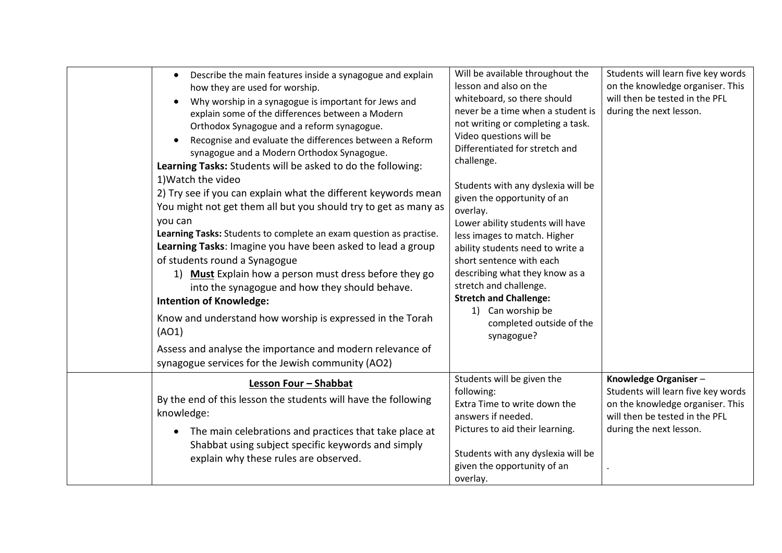| Describe the main features inside a synagogue and explain<br>$\bullet$<br>how they are used for worship.<br>Why worship in a synagogue is important for Jews and<br>$\bullet$<br>explain some of the differences between a Modern<br>Orthodox Synagogue and a reform synagogue.<br>Recognise and evaluate the differences between a Reform<br>$\bullet$<br>synagogue and a Modern Orthodox Synagogue.<br>Learning Tasks: Students will be asked to do the following:<br>1) Watch the video<br>2) Try see if you can explain what the different keywords mean<br>You might not get them all but you should try to get as many as<br>you can<br>Learning Tasks: Students to complete an exam question as practise.<br>Learning Tasks: Imagine you have been asked to lead a group<br>of students round a Synagogue<br>1) Must Explain how a person must dress before they go<br>into the synagogue and how they should behave.<br><b>Intention of Knowledge:</b><br>Know and understand how worship is expressed in the Torah<br>(AO1)<br>Assess and analyse the importance and modern relevance of<br>synagogue services for the Jewish community (AO2) | Will be available throughout the<br>lesson and also on the<br>whiteboard, so there should<br>never be a time when a student is<br>not writing or completing a task.<br>Video questions will be<br>Differentiated for stretch and<br>challenge.<br>Students with any dyslexia will be<br>given the opportunity of an<br>overlay.<br>Lower ability students will have<br>less images to match. Higher<br>ability students need to write a<br>short sentence with each<br>describing what they know as a<br>stretch and challenge.<br><b>Stretch and Challenge:</b><br>1) Can worship be<br>completed outside of the<br>synagogue? | Students will learn five key words<br>on the knowledge organiser. This<br>will then be tested in the PFL<br>during the next lesson.                         |
|--------------------------------------------------------------------------------------------------------------------------------------------------------------------------------------------------------------------------------------------------------------------------------------------------------------------------------------------------------------------------------------------------------------------------------------------------------------------------------------------------------------------------------------------------------------------------------------------------------------------------------------------------------------------------------------------------------------------------------------------------------------------------------------------------------------------------------------------------------------------------------------------------------------------------------------------------------------------------------------------------------------------------------------------------------------------------------------------------------------------------------------------------------|---------------------------------------------------------------------------------------------------------------------------------------------------------------------------------------------------------------------------------------------------------------------------------------------------------------------------------------------------------------------------------------------------------------------------------------------------------------------------------------------------------------------------------------------------------------------------------------------------------------------------------|-------------------------------------------------------------------------------------------------------------------------------------------------------------|
| Lesson Four - Shabbat<br>By the end of this lesson the students will have the following<br>knowledge:<br>The main celebrations and practices that take place at<br>$\bullet$<br>Shabbat using subject specific keywords and simply<br>explain why these rules are observed.                                                                                                                                                                                                                                                                                                                                                                                                                                                                                                                                                                                                                                                                                                                                                                                                                                                                            | Students will be given the<br>following:<br>Extra Time to write down the<br>answers if needed.<br>Pictures to aid their learning.<br>Students with any dyslexia will be<br>given the opportunity of an<br>overlay.                                                                                                                                                                                                                                                                                                                                                                                                              | Knowledge Organiser-<br>Students will learn five key words<br>on the knowledge organiser. This<br>will then be tested in the PFL<br>during the next lesson. |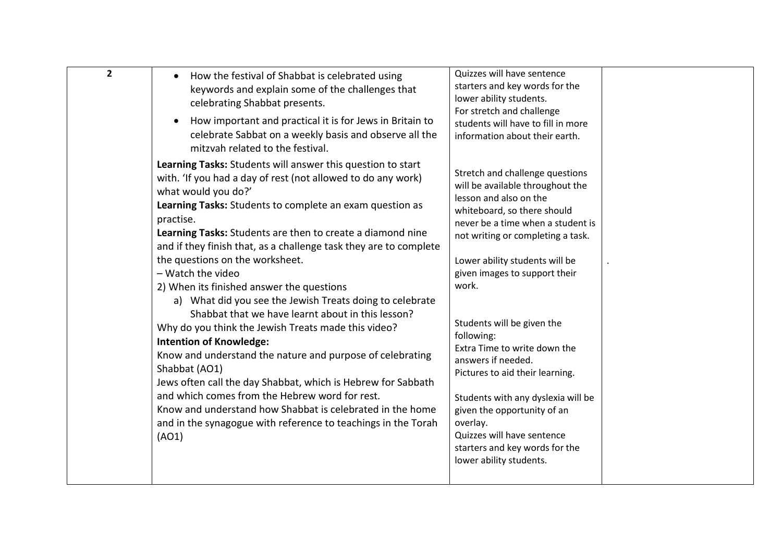| $\overline{2}$<br>Quizzes will have sentence<br>How the festival of Shabbat is celebrated using<br>$\bullet$<br>starters and key words for the<br>keywords and explain some of the challenges that<br>lower ability students.<br>celebrating Shabbat presents.<br>For stretch and challenge<br>How important and practical it is for Jews in Britain to<br>$\bullet$<br>students will have to fill in more<br>celebrate Sabbat on a weekly basis and observe all the<br>information about their earth.<br>mitzvah related to the festival.<br>Learning Tasks: Students will answer this question to start<br>Stretch and challenge questions<br>with. 'If you had a day of rest (not allowed to do any work)<br>will be available throughout the<br>what would you do?'<br>lesson and also on the<br>Learning Tasks: Students to complete an exam question as<br>whiteboard, so there should<br>practise.<br>never be a time when a student is<br>Learning Tasks: Students are then to create a diamond nine<br>not writing or completing a task.<br>and if they finish that, as a challenge task they are to complete<br>the questions on the worksheet.<br>Lower ability students will be<br>- Watch the video<br>given images to support their<br>work.<br>2) When its finished answer the questions<br>a) What did you see the Jewish Treats doing to celebrate<br>Shabbat that we have learnt about in this lesson?<br>Students will be given the<br>Why do you think the Jewish Treats made this video?<br>following:<br><b>Intention of Knowledge:</b><br>Extra Time to write down the<br>Know and understand the nature and purpose of celebrating<br>answers if needed.<br>Shabbat (AO1)<br>Pictures to aid their learning.<br>Jews often call the day Shabbat, which is Hebrew for Sabbath<br>and which comes from the Hebrew word for rest.<br>Students with any dyslexia will be<br>Know and understand how Shabbat is celebrated in the home<br>given the opportunity of an<br>overlay.<br>and in the synagogue with reference to teachings in the Torah |       |                            |  |
|-----------------------------------------------------------------------------------------------------------------------------------------------------------------------------------------------------------------------------------------------------------------------------------------------------------------------------------------------------------------------------------------------------------------------------------------------------------------------------------------------------------------------------------------------------------------------------------------------------------------------------------------------------------------------------------------------------------------------------------------------------------------------------------------------------------------------------------------------------------------------------------------------------------------------------------------------------------------------------------------------------------------------------------------------------------------------------------------------------------------------------------------------------------------------------------------------------------------------------------------------------------------------------------------------------------------------------------------------------------------------------------------------------------------------------------------------------------------------------------------------------------------------------------------------------------------------------------------------------------------------------------------------------------------------------------------------------------------------------------------------------------------------------------------------------------------------------------------------------------------------------------------------------------------------------------------------------------------------------------------------------------------------------------------------------------------------|-------|----------------------------|--|
|                                                                                                                                                                                                                                                                                                                                                                                                                                                                                                                                                                                                                                                                                                                                                                                                                                                                                                                                                                                                                                                                                                                                                                                                                                                                                                                                                                                                                                                                                                                                                                                                                                                                                                                                                                                                                                                                                                                                                                                                                                                                       |       |                            |  |
| starters and key words for the<br>lower ability students.                                                                                                                                                                                                                                                                                                                                                                                                                                                                                                                                                                                                                                                                                                                                                                                                                                                                                                                                                                                                                                                                                                                                                                                                                                                                                                                                                                                                                                                                                                                                                                                                                                                                                                                                                                                                                                                                                                                                                                                                             | (AO1) | Quizzes will have sentence |  |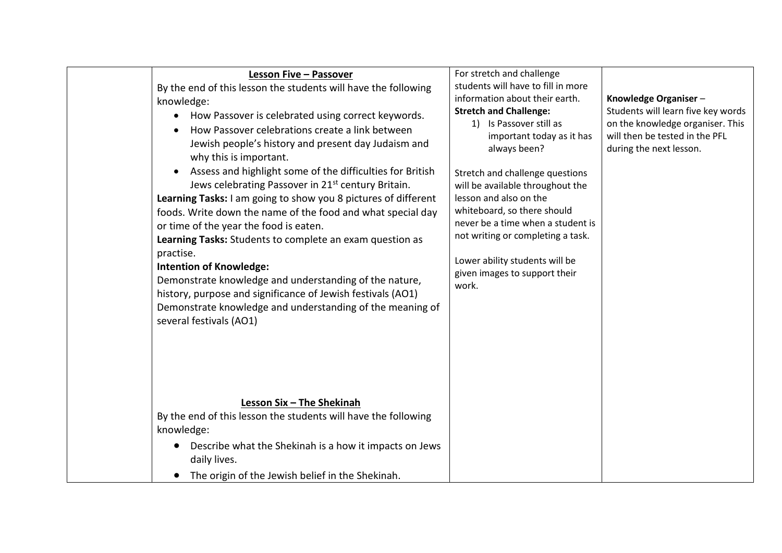| Lesson Five - Passover<br>By the end of this lesson the students will have the following<br>knowledge:<br>How Passover is celebrated using correct keywords.<br>How Passover celebrations create a link between<br>Jewish people's history and present day Judaism and<br>why this is important.<br>Assess and highlight some of the difficulties for British<br>Jews celebrating Passover in 21 <sup>st</sup> century Britain.<br>Learning Tasks: I am going to show you 8 pictures of different<br>foods. Write down the name of the food and what special day<br>or time of the year the food is eaten.<br>Learning Tasks: Students to complete an exam question as<br>practise.<br><b>Intention of Knowledge:</b><br>Demonstrate knowledge and understanding of the nature,<br>history, purpose and significance of Jewish festivals (AO1)<br>Demonstrate knowledge and understanding of the meaning of<br>several festivals (AO1) | For stretch and challenge<br>students will have to fill in more<br>information about their earth.<br><b>Stretch and Challenge:</b><br>1) Is Passover still as<br>important today as it has<br>always been?<br>Stretch and challenge questions<br>will be available throughout the<br>lesson and also on the<br>whiteboard, so there should<br>never be a time when a student is<br>not writing or completing a task.<br>Lower ability students will be<br>given images to support their<br>work. | Knowledge Organiser-<br>Students will learn five key words<br>on the knowledge organiser. This<br>will then be tested in the PFL<br>during the next lesson. |
|----------------------------------------------------------------------------------------------------------------------------------------------------------------------------------------------------------------------------------------------------------------------------------------------------------------------------------------------------------------------------------------------------------------------------------------------------------------------------------------------------------------------------------------------------------------------------------------------------------------------------------------------------------------------------------------------------------------------------------------------------------------------------------------------------------------------------------------------------------------------------------------------------------------------------------------|--------------------------------------------------------------------------------------------------------------------------------------------------------------------------------------------------------------------------------------------------------------------------------------------------------------------------------------------------------------------------------------------------------------------------------------------------------------------------------------------------|-------------------------------------------------------------------------------------------------------------------------------------------------------------|
| Lesson Six - The Shekinah<br>By the end of this lesson the students will have the following<br>knowledge:                                                                                                                                                                                                                                                                                                                                                                                                                                                                                                                                                                                                                                                                                                                                                                                                                              |                                                                                                                                                                                                                                                                                                                                                                                                                                                                                                  |                                                                                                                                                             |
| Describe what the Shekinah is a how it impacts on Jews<br>daily lives.                                                                                                                                                                                                                                                                                                                                                                                                                                                                                                                                                                                                                                                                                                                                                                                                                                                                 |                                                                                                                                                                                                                                                                                                                                                                                                                                                                                                  |                                                                                                                                                             |
| The origin of the Jewish belief in the Shekinah.                                                                                                                                                                                                                                                                                                                                                                                                                                                                                                                                                                                                                                                                                                                                                                                                                                                                                       |                                                                                                                                                                                                                                                                                                                                                                                                                                                                                                  |                                                                                                                                                             |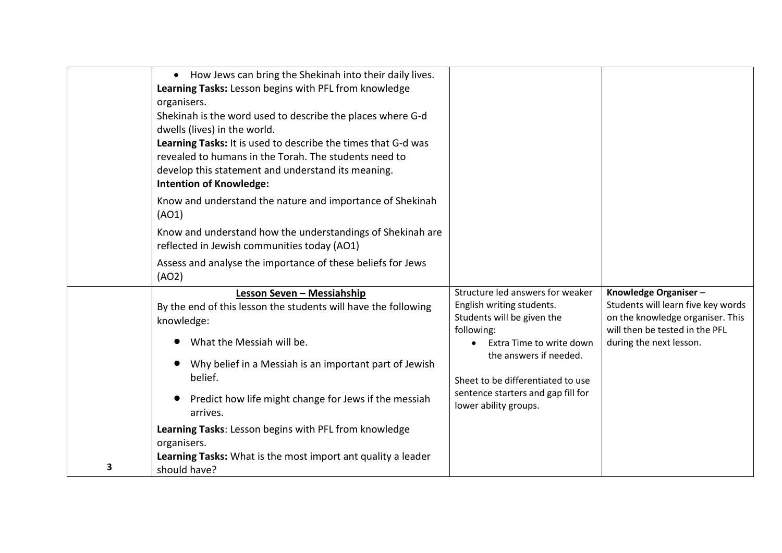|   | • How Jews can bring the Shekinah into their daily lives.<br>Learning Tasks: Lesson begins with PFL from knowledge<br>organisers.<br>Shekinah is the word used to describe the places where G-d<br>dwells (lives) in the world.<br>Learning Tasks: It is used to describe the times that G-d was<br>revealed to humans in the Torah. The students need to<br>develop this statement and understand its meaning.<br><b>Intention of Knowledge:</b> |                                                                                                                               |                                                                                                                                  |
|---|---------------------------------------------------------------------------------------------------------------------------------------------------------------------------------------------------------------------------------------------------------------------------------------------------------------------------------------------------------------------------------------------------------------------------------------------------|-------------------------------------------------------------------------------------------------------------------------------|----------------------------------------------------------------------------------------------------------------------------------|
|   | Know and understand the nature and importance of Shekinah<br>(AO1)                                                                                                                                                                                                                                                                                                                                                                                |                                                                                                                               |                                                                                                                                  |
|   | Know and understand how the understandings of Shekinah are<br>reflected in Jewish communities today (AO1)                                                                                                                                                                                                                                                                                                                                         |                                                                                                                               |                                                                                                                                  |
|   | Assess and analyse the importance of these beliefs for Jews<br>(AO2)                                                                                                                                                                                                                                                                                                                                                                              |                                                                                                                               |                                                                                                                                  |
|   | Lesson Seven - Messiahship<br>By the end of this lesson the students will have the following<br>knowledge:                                                                                                                                                                                                                                                                                                                                        | Structure led answers for weaker<br>English writing students.<br>Students will be given the<br>following:                     | Knowledge Organiser-<br>Students will learn five key words<br>on the knowledge organiser. This<br>will then be tested in the PFL |
|   | What the Messiah will be.<br>Why belief in a Messiah is an important part of Jewish<br>belief.<br>Predict how life might change for Jews if the messiah                                                                                                                                                                                                                                                                                           | Extra Time to write down<br>the answers if needed.<br>Sheet to be differentiated to use<br>sentence starters and gap fill for | during the next lesson.                                                                                                          |
|   | arrives.<br>Learning Tasks: Lesson begins with PFL from knowledge                                                                                                                                                                                                                                                                                                                                                                                 | lower ability groups.                                                                                                         |                                                                                                                                  |
| 3 | organisers.<br>Learning Tasks: What is the most import ant quality a leader<br>should have?                                                                                                                                                                                                                                                                                                                                                       |                                                                                                                               |                                                                                                                                  |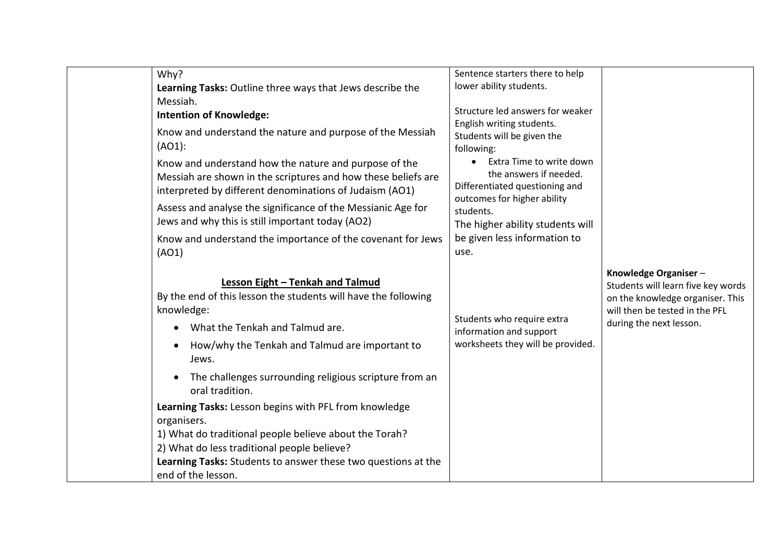| Why?                                                                                | Sentence starters there to help                    |                                    |
|-------------------------------------------------------------------------------------|----------------------------------------------------|------------------------------------|
| Learning Tasks: Outline three ways that Jews describe the                           | lower ability students.                            |                                    |
| Messiah.                                                                            |                                                    |                                    |
| <b>Intention of Knowledge:</b>                                                      | Structure led answers for weaker                   |                                    |
| Know and understand the nature and purpose of the Messiah                           | English writing students.                          |                                    |
| (AO1):                                                                              | Students will be given the                         |                                    |
|                                                                                     | following:                                         |                                    |
| Know and understand how the nature and purpose of the                               | Extra Time to write down<br>the answers if needed. |                                    |
| Messiah are shown in the scriptures and how these beliefs are                       | Differentiated questioning and                     |                                    |
| interpreted by different denominations of Judaism (AO1)                             | outcomes for higher ability                        |                                    |
| Assess and analyse the significance of the Messianic Age for                        | students.                                          |                                    |
| Jews and why this is still important today (AO2)                                    | The higher ability students will                   |                                    |
| Know and understand the importance of the covenant for Jews                         | be given less information to                       |                                    |
| (AO1)                                                                               | use.                                               |                                    |
|                                                                                     |                                                    |                                    |
|                                                                                     |                                                    | Knowledge Organiser-               |
| Lesson Eight - Tenkah and Talmud                                                    |                                                    | Students will learn five key words |
| By the end of this lesson the students will have the following                      |                                                    | on the knowledge organiser. This   |
| knowledge:                                                                          | Students who require extra                         | will then be tested in the PFL     |
| What the Tenkah and Talmud are.                                                     | information and support                            | during the next lesson.            |
| How/why the Tenkah and Talmud are important to<br>$\bullet$                         | worksheets they will be provided.                  |                                    |
| Jews.                                                                               |                                                    |                                    |
| The challenges surrounding religious scripture from an<br>$\bullet$                 |                                                    |                                    |
| oral tradition.                                                                     |                                                    |                                    |
| Learning Tasks: Lesson begins with PFL from knowledge                               |                                                    |                                    |
| organisers.                                                                         |                                                    |                                    |
|                                                                                     |                                                    |                                    |
| 1) What do traditional people believe about the Torah?                              |                                                    |                                    |
| 2) What do less traditional people believe?                                         |                                                    |                                    |
| Learning Tasks: Students to answer these two questions at the<br>end of the lesson. |                                                    |                                    |
|                                                                                     |                                                    |                                    |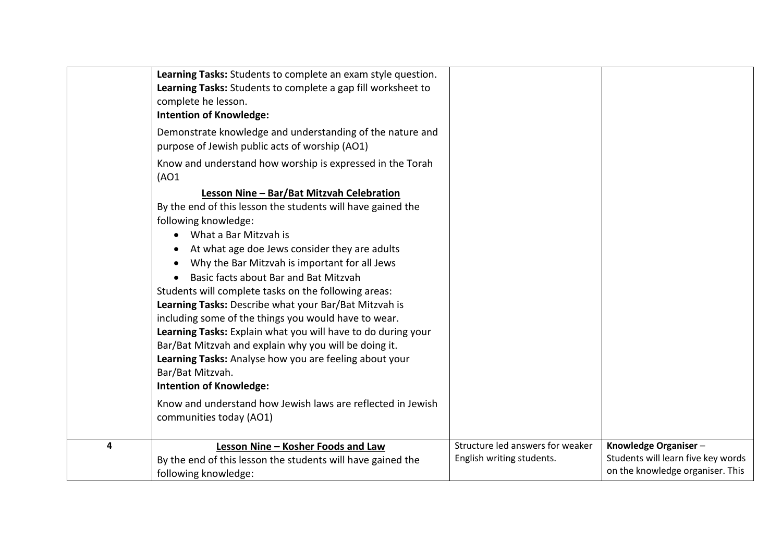|   | Learning Tasks: Students to complete an exam style question.<br>Learning Tasks: Students to complete a gap fill worksheet to<br>complete he lesson.<br><b>Intention of Knowledge:</b><br>Demonstrate knowledge and understanding of the nature and<br>purpose of Jewish public acts of worship (AO1)<br>Know and understand how worship is expressed in the Torah<br>(AO1)<br>Lesson Nine - Bar/Bat Mitzvah Celebration<br>By the end of this lesson the students will have gained the<br>following knowledge:<br>What a Bar Mitzvah is<br>At what age doe Jews consider they are adults<br>Why the Bar Mitzvah is important for all Jews<br>Basic facts about Bar and Bat Mitzvah<br>Students will complete tasks on the following areas:<br>Learning Tasks: Describe what your Bar/Bat Mitzvah is<br>including some of the things you would have to wear.<br>Learning Tasks: Explain what you will have to do during your<br>Bar/Bat Mitzvah and explain why you will be doing it.<br>Learning Tasks: Analyse how you are feeling about your<br>Bar/Bat Mitzvah. |                                                               |                                                                                                |
|---|--------------------------------------------------------------------------------------------------------------------------------------------------------------------------------------------------------------------------------------------------------------------------------------------------------------------------------------------------------------------------------------------------------------------------------------------------------------------------------------------------------------------------------------------------------------------------------------------------------------------------------------------------------------------------------------------------------------------------------------------------------------------------------------------------------------------------------------------------------------------------------------------------------------------------------------------------------------------------------------------------------------------------------------------------------------------|---------------------------------------------------------------|------------------------------------------------------------------------------------------------|
|   | <b>Intention of Knowledge:</b>                                                                                                                                                                                                                                                                                                                                                                                                                                                                                                                                                                                                                                                                                                                                                                                                                                                                                                                                                                                                                                     |                                                               |                                                                                                |
|   | Know and understand how Jewish laws are reflected in Jewish<br>communities today (AO1)                                                                                                                                                                                                                                                                                                                                                                                                                                                                                                                                                                                                                                                                                                                                                                                                                                                                                                                                                                             |                                                               |                                                                                                |
| 4 | Lesson Nine - Kosher Foods and Law<br>By the end of this lesson the students will have gained the<br>following knowledge:                                                                                                                                                                                                                                                                                                                                                                                                                                                                                                                                                                                                                                                                                                                                                                                                                                                                                                                                          | Structure led answers for weaker<br>English writing students. | Knowledge Organiser-<br>Students will learn five key words<br>on the knowledge organiser. This |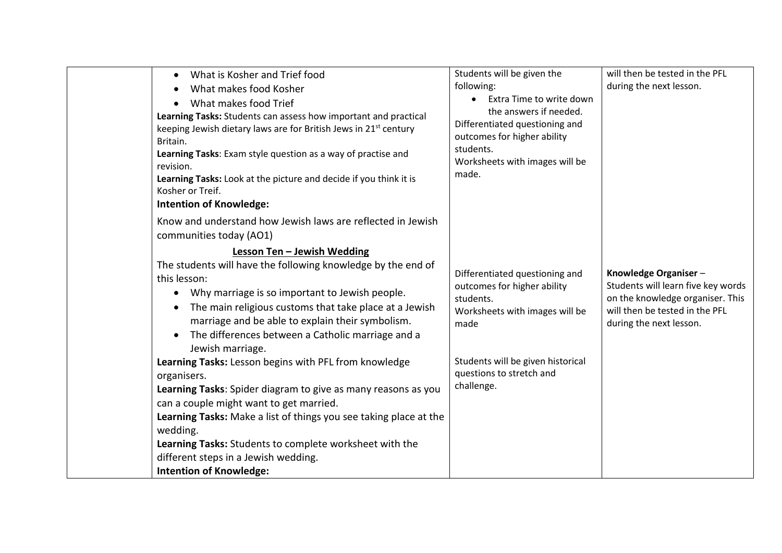| What is Kosher and Trief food<br>$\bullet$<br>What makes food Kosher<br>$\bullet$<br>What makes food Trief<br>Learning Tasks: Students can assess how important and practical<br>keeping Jewish dietary laws are for British Jews in 21 <sup>st</sup> century<br>Britain.<br>Learning Tasks: Exam style question as a way of practise and<br>revision.<br>Learning Tasks: Look at the picture and decide if you think it is<br>Kosher or Treif.<br><b>Intention of Knowledge:</b>                                                                                                                                                                                                                                                                                                                                                                                                               | Students will be given the<br>following:<br>Extra Time to write down<br>the answers if needed.<br>Differentiated questioning and<br>outcomes for higher ability<br>students.<br>Worksheets with images will be<br>made. | will then be tested in the PFL<br>during the next lesson.                                                                                                   |
|-------------------------------------------------------------------------------------------------------------------------------------------------------------------------------------------------------------------------------------------------------------------------------------------------------------------------------------------------------------------------------------------------------------------------------------------------------------------------------------------------------------------------------------------------------------------------------------------------------------------------------------------------------------------------------------------------------------------------------------------------------------------------------------------------------------------------------------------------------------------------------------------------|-------------------------------------------------------------------------------------------------------------------------------------------------------------------------------------------------------------------------|-------------------------------------------------------------------------------------------------------------------------------------------------------------|
| Know and understand how Jewish laws are reflected in Jewish<br>communities today (AO1)<br>Lesson Ten - Jewish Wedding<br>The students will have the following knowledge by the end of<br>this lesson:<br>Why marriage is so important to Jewish people.<br>$\bullet$<br>The main religious customs that take place at a Jewish<br>$\bullet$<br>marriage and be able to explain their symbolism.<br>The differences between a Catholic marriage and a<br>$\bullet$<br>Jewish marriage.<br>Learning Tasks: Lesson begins with PFL from knowledge<br>organisers.<br>Learning Tasks: Spider diagram to give as many reasons as you<br>can a couple might want to get married.<br>Learning Tasks: Make a list of things you see taking place at the<br>wedding.<br>Learning Tasks: Students to complete worksheet with the<br>different steps in a Jewish wedding.<br><b>Intention of Knowledge:</b> | Differentiated questioning and<br>outcomes for higher ability<br>students.<br>Worksheets with images will be<br>made<br>Students will be given historical<br>questions to stretch and<br>challenge.                     | Knowledge Organiser-<br>Students will learn five key words<br>on the knowledge organiser. This<br>will then be tested in the PFL<br>during the next lesson. |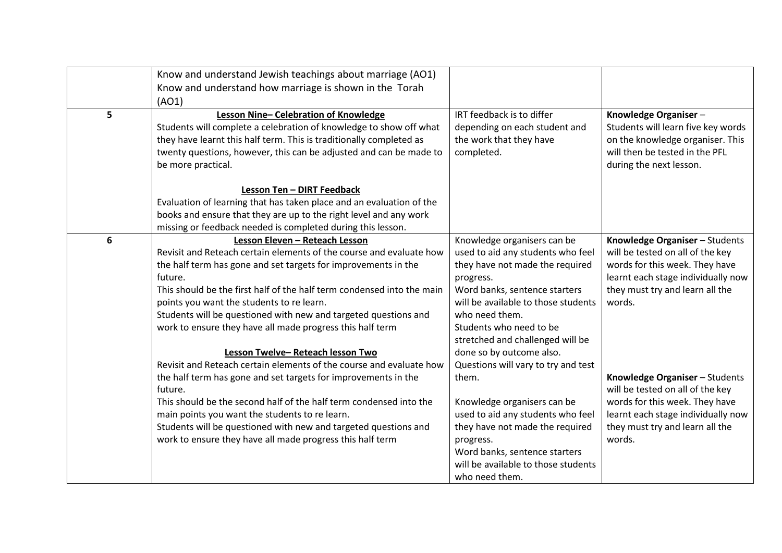|   | Know and understand Jewish teachings about marriage (AO1)              |                                     |                                    |
|---|------------------------------------------------------------------------|-------------------------------------|------------------------------------|
|   | Know and understand how marriage is shown in the Torah                 |                                     |                                    |
|   | (AO1)                                                                  |                                     |                                    |
| 5 | Lesson Nine-Celebration of Knowledge                                   | IRT feedback is to differ           | Knowledge Organiser-               |
|   | Students will complete a celebration of knowledge to show off what     | depending on each student and       | Students will learn five key words |
|   | they have learnt this half term. This is traditionally completed as    | the work that they have             | on the knowledge organiser. This   |
|   | twenty questions, however, this can be adjusted and can be made to     | completed.                          | will then be tested in the PFL     |
|   | be more practical.                                                     |                                     | during the next lesson.            |
|   |                                                                        |                                     |                                    |
|   | Lesson Ten - DIRT Feedback                                             |                                     |                                    |
|   | Evaluation of learning that has taken place and an evaluation of the   |                                     |                                    |
|   | books and ensure that they are up to the right level and any work      |                                     |                                    |
|   | missing or feedback needed is completed during this lesson.            |                                     |                                    |
| 6 | Lesson Eleven - Reteach Lesson                                         | Knowledge organisers can be         | Knowledge Organiser - Students     |
|   | Revisit and Reteach certain elements of the course and evaluate how    | used to aid any students who feel   | will be tested on all of the key   |
|   | the half term has gone and set targets for improvements in the         | they have not made the required     | words for this week. They have     |
|   | future.                                                                | progress.                           | learnt each stage individually now |
|   | This should be the first half of the half term condensed into the main | Word banks, sentence starters       | they must try and learn all the    |
|   | points you want the students to re learn.                              | will be available to those students | words.                             |
|   | Students will be questioned with new and targeted questions and        | who need them.                      |                                    |
|   | work to ensure they have all made progress this half term              | Students who need to be             |                                    |
|   |                                                                        | stretched and challenged will be    |                                    |
|   | Lesson Twelve-Reteach lesson Two                                       | done so by outcome also.            |                                    |
|   | Revisit and Reteach certain elements of the course and evaluate how    | Questions will vary to try and test |                                    |
|   | the half term has gone and set targets for improvements in the         | them.                               | Knowledge Organiser - Students     |
|   | future.                                                                |                                     | will be tested on all of the key   |
|   | This should be the second half of the half term condensed into the     | Knowledge organisers can be         | words for this week. They have     |
|   | main points you want the students to re learn.                         | used to aid any students who feel   | learnt each stage individually now |
|   | Students will be questioned with new and targeted questions and        | they have not made the required     | they must try and learn all the    |
|   | work to ensure they have all made progress this half term              | progress.                           | words.                             |
|   |                                                                        | Word banks, sentence starters       |                                    |
|   |                                                                        | will be available to those students |                                    |
|   |                                                                        | who need them.                      |                                    |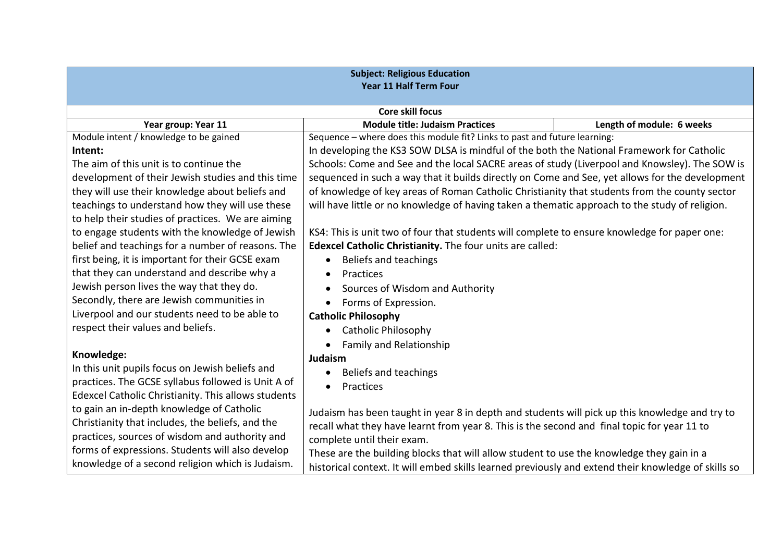| <b>Subject: Religious Education</b><br>Year 11 Half Term Four |                                                                                                     |                           |  |
|---------------------------------------------------------------|-----------------------------------------------------------------------------------------------------|---------------------------|--|
|                                                               | <b>Core skill focus</b>                                                                             |                           |  |
| Year group: Year 11                                           | <b>Module title: Judaism Practices</b>                                                              | Length of module: 6 weeks |  |
| Module intent / knowledge to be gained                        | Sequence - where does this module fit? Links to past and future learning:                           |                           |  |
| Intent:                                                       | In developing the KS3 SOW DLSA is mindful of the both the National Framework for Catholic           |                           |  |
| The aim of this unit is to continue the                       | Schools: Come and See and the local SACRE areas of study (Liverpool and Knowsley). The SOW is       |                           |  |
| development of their Jewish studies and this time             | sequenced in such a way that it builds directly on Come and See, yet allows for the development     |                           |  |
| they will use their knowledge about beliefs and               | of knowledge of key areas of Roman Catholic Christianity that students from the county sector       |                           |  |
| teachings to understand how they will use these               | will have little or no knowledge of having taken a thematic approach to the study of religion.      |                           |  |
| to help their studies of practices. We are aiming             |                                                                                                     |                           |  |
| to engage students with the knowledge of Jewish               | KS4: This is unit two of four that students will complete to ensure knowledge for paper one:        |                           |  |
| belief and teachings for a number of reasons. The             | Edexcel Catholic Christianity. The four units are called:                                           |                           |  |
| first being, it is important for their GCSE exam              | Beliefs and teachings<br>$\bullet$                                                                  |                           |  |
| that they can understand and describe why a                   | Practices<br>$\bullet$                                                                              |                           |  |
| Jewish person lives the way that they do.                     | Sources of Wisdom and Authority                                                                     |                           |  |
| Secondly, there are Jewish communities in                     | Forms of Expression.<br>$\bullet$                                                                   |                           |  |
| Liverpool and our students need to be able to                 | <b>Catholic Philosophy</b>                                                                          |                           |  |
| respect their values and beliefs.                             | Catholic Philosophy<br>$\bullet$                                                                    |                           |  |
|                                                               | <b>Family and Relationship</b>                                                                      |                           |  |
| Knowledge:                                                    | Judaism                                                                                             |                           |  |
| In this unit pupils focus on Jewish beliefs and               | Beliefs and teachings<br>$\bullet$                                                                  |                           |  |
| practices. The GCSE syllabus followed is Unit A of            | Practices                                                                                           |                           |  |
| Edexcel Catholic Christianity. This allows students           |                                                                                                     |                           |  |
| to gain an in-depth knowledge of Catholic                     | Judaism has been taught in year 8 in depth and students will pick up this knowledge and try to      |                           |  |
| Christianity that includes, the beliefs, and the              | recall what they have learnt from year 8. This is the second and final topic for year 11 to         |                           |  |
| practices, sources of wisdom and authority and                | complete until their exam.                                                                          |                           |  |
| forms of expressions. Students will also develop              | These are the building blocks that will allow student to use the knowledge they gain in a           |                           |  |
| knowledge of a second religion which is Judaism.              | historical context. It will embed skills learned previously and extend their knowledge of skills so |                           |  |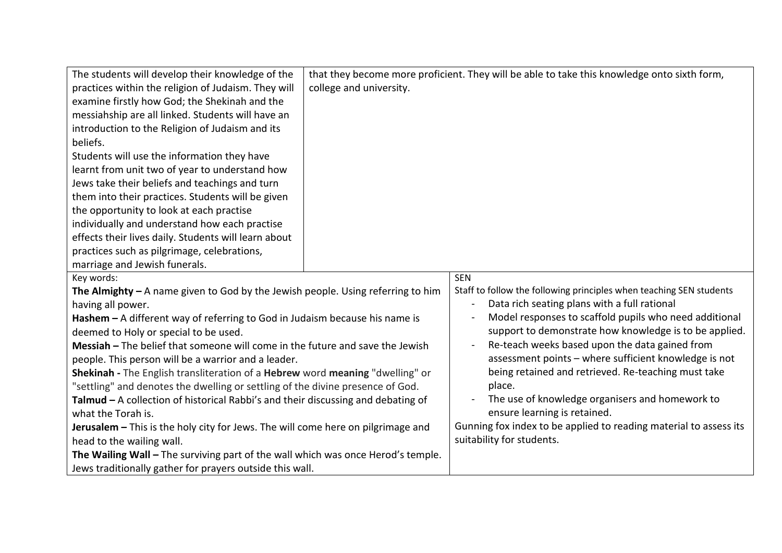| The students will develop their knowledge of the<br>practices within the religion of Judaism. They will<br>examine firstly how God; the Shekinah and the<br>messiahship are all linked. Students will have an<br>introduction to the Religion of Judaism and its<br>beliefs.<br>Students will use the information they have<br>learnt from unit two of year to understand how<br>Jews take their beliefs and teachings and turn<br>them into their practices. Students will be given<br>the opportunity to look at each practise<br>individually and understand how each practise<br>effects their lives daily. Students will learn about<br>practices such as pilgrimage, celebrations, | college and university. | that they become more proficient. They will be able to take this knowledge onto sixth form,                         |
|------------------------------------------------------------------------------------------------------------------------------------------------------------------------------------------------------------------------------------------------------------------------------------------------------------------------------------------------------------------------------------------------------------------------------------------------------------------------------------------------------------------------------------------------------------------------------------------------------------------------------------------------------------------------------------------|-------------------------|---------------------------------------------------------------------------------------------------------------------|
| marriage and Jewish funerals.                                                                                                                                                                                                                                                                                                                                                                                                                                                                                                                                                                                                                                                            |                         |                                                                                                                     |
| Key words:                                                                                                                                                                                                                                                                                                                                                                                                                                                                                                                                                                                                                                                                               |                         | <b>SEN</b>                                                                                                          |
| The Almighty $-$ A name given to God by the Jewish people. Using referring to him<br>having all power.                                                                                                                                                                                                                                                                                                                                                                                                                                                                                                                                                                                   |                         | Staff to follow the following principles when teaching SEN students<br>Data rich seating plans with a full rational |
| Hashem $-$ A different way of referring to God in Judaism because his name is                                                                                                                                                                                                                                                                                                                                                                                                                                                                                                                                                                                                            |                         | Model responses to scaffold pupils who need additional                                                              |
| deemed to Holy or special to be used.                                                                                                                                                                                                                                                                                                                                                                                                                                                                                                                                                                                                                                                    |                         | support to demonstrate how knowledge is to be applied.                                                              |
| Messiah - The belief that someone will come in the future and save the Jewish                                                                                                                                                                                                                                                                                                                                                                                                                                                                                                                                                                                                            |                         | Re-teach weeks based upon the data gained from                                                                      |
| people. This person will be a warrior and a leader.                                                                                                                                                                                                                                                                                                                                                                                                                                                                                                                                                                                                                                      |                         | assessment points - where sufficient knowledge is not                                                               |
| Shekinah - The English transliteration of a Hebrew word meaning "dwelling" or                                                                                                                                                                                                                                                                                                                                                                                                                                                                                                                                                                                                            |                         | being retained and retrieved. Re-teaching must take                                                                 |
| "settling" and denotes the dwelling or settling of the divine presence of God.                                                                                                                                                                                                                                                                                                                                                                                                                                                                                                                                                                                                           |                         | place.                                                                                                              |
| Talmud - A collection of historical Rabbi's and their discussing and debating of                                                                                                                                                                                                                                                                                                                                                                                                                                                                                                                                                                                                         |                         | The use of knowledge organisers and homework to                                                                     |
| what the Torah is.                                                                                                                                                                                                                                                                                                                                                                                                                                                                                                                                                                                                                                                                       |                         | ensure learning is retained.                                                                                        |
| Jerusalem - This is the holy city for Jews. The will come here on pilgrimage and                                                                                                                                                                                                                                                                                                                                                                                                                                                                                                                                                                                                         |                         | Gunning fox index to be applied to reading material to assess its                                                   |
| head to the wailing wall.                                                                                                                                                                                                                                                                                                                                                                                                                                                                                                                                                                                                                                                                |                         | suitability for students.                                                                                           |
| The Wailing Wall - The surviving part of the wall which was once Herod's temple.                                                                                                                                                                                                                                                                                                                                                                                                                                                                                                                                                                                                         |                         |                                                                                                                     |
| Jews traditionally gather for prayers outside this wall.                                                                                                                                                                                                                                                                                                                                                                                                                                                                                                                                                                                                                                 |                         |                                                                                                                     |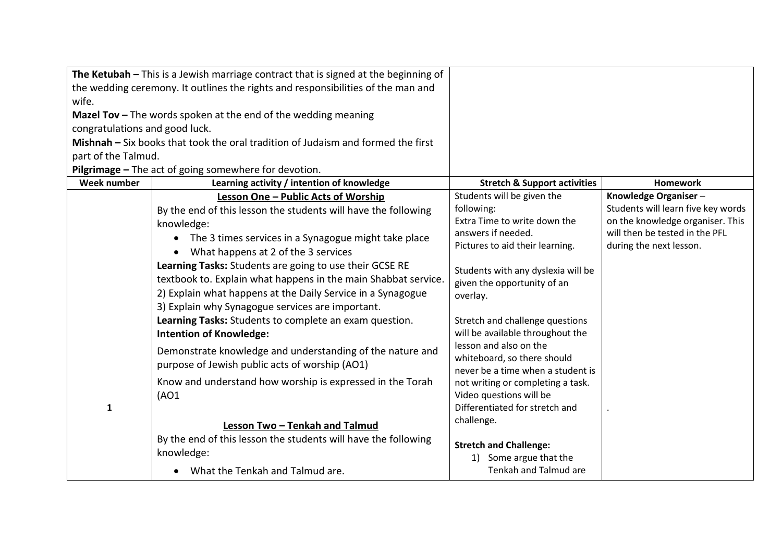| The Ketubah - This is a Jewish marriage contract that is signed at the beginning of |                                                                                  |                                                                     |                                                           |
|-------------------------------------------------------------------------------------|----------------------------------------------------------------------------------|---------------------------------------------------------------------|-----------------------------------------------------------|
| the wedding ceremony. It outlines the rights and responsibilities of the man and    |                                                                                  |                                                                     |                                                           |
| wife.                                                                               |                                                                                  |                                                                     |                                                           |
|                                                                                     | <b>Mazel Tov</b> $-$ The words spoken at the end of the wedding meaning          |                                                                     |                                                           |
| congratulations and good luck.                                                      |                                                                                  |                                                                     |                                                           |
|                                                                                     | Mishnah – Six books that took the oral tradition of Judaism and formed the first |                                                                     |                                                           |
| part of the Talmud.                                                                 |                                                                                  |                                                                     |                                                           |
|                                                                                     | Pilgrimage - The act of going somewhere for devotion.                            |                                                                     |                                                           |
| Week number                                                                         | Learning activity / intention of knowledge                                       | <b>Stretch &amp; Support activities</b>                             | <b>Homework</b>                                           |
|                                                                                     | Lesson One - Public Acts of Worship                                              | Students will be given the                                          | Knowledge Organiser-                                      |
|                                                                                     | By the end of this lesson the students will have the following                   | following:                                                          | Students will learn five key words                        |
|                                                                                     | knowledge:                                                                       | Extra Time to write down the                                        | on the knowledge organiser. This                          |
|                                                                                     | The 3 times services in a Synagogue might take place                             | answers if needed.<br>Pictures to aid their learning.               | will then be tested in the PFL<br>during the next lesson. |
|                                                                                     | What happens at 2 of the 3 services                                              |                                                                     |                                                           |
|                                                                                     | Learning Tasks: Students are going to use their GCSE RE                          | Students with any dyslexia will be                                  |                                                           |
|                                                                                     | textbook to. Explain what happens in the main Shabbat service.                   | given the opportunity of an                                         |                                                           |
|                                                                                     | 2) Explain what happens at the Daily Service in a Synagogue                      | overlay.                                                            |                                                           |
|                                                                                     | 3) Explain why Synagogue services are important.                                 |                                                                     |                                                           |
|                                                                                     | Learning Tasks: Students to complete an exam question.                           | Stretch and challenge questions<br>will be available throughout the |                                                           |
|                                                                                     | <b>Intention of Knowledge:</b>                                                   |                                                                     |                                                           |
|                                                                                     | Demonstrate knowledge and understanding of the nature and                        | lesson and also on the                                              |                                                           |
|                                                                                     | purpose of Jewish public acts of worship (AO1)                                   | whiteboard, so there should<br>never be a time when a student is    |                                                           |
|                                                                                     | Know and understand how worship is expressed in the Torah                        | not writing or completing a task.                                   |                                                           |
|                                                                                     | (AO1)                                                                            | Video questions will be                                             |                                                           |
| $\mathbf 1$                                                                         |                                                                                  | Differentiated for stretch and                                      |                                                           |
|                                                                                     |                                                                                  | challenge.                                                          |                                                           |
|                                                                                     | Lesson Two - Tenkah and Talmud                                                   |                                                                     |                                                           |
|                                                                                     | By the end of this lesson the students will have the following                   | <b>Stretch and Challenge:</b>                                       |                                                           |
|                                                                                     | knowledge:                                                                       | 1) Some argue that the                                              |                                                           |
|                                                                                     | What the Tenkah and Talmud are.                                                  | Tenkah and Talmud are                                               |                                                           |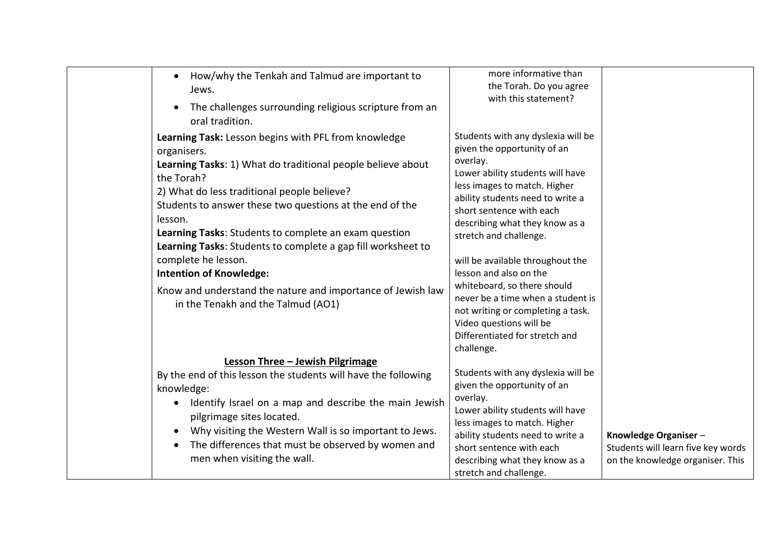| How/why the Tenkah and Talmud are important to<br>$\bullet$<br>Jews.                                                                                                                                                                                                                                                                                                                                                                                                                                                                                          | more informative than<br>the Torah. Do you agree                                                                                                                                                                                                                                                                                                                                                                                                                                                                                |                                                                                                |
|---------------------------------------------------------------------------------------------------------------------------------------------------------------------------------------------------------------------------------------------------------------------------------------------------------------------------------------------------------------------------------------------------------------------------------------------------------------------------------------------------------------------------------------------------------------|---------------------------------------------------------------------------------------------------------------------------------------------------------------------------------------------------------------------------------------------------------------------------------------------------------------------------------------------------------------------------------------------------------------------------------------------------------------------------------------------------------------------------------|------------------------------------------------------------------------------------------------|
| The challenges surrounding religious scripture from an<br>$\bullet$<br>oral tradition.                                                                                                                                                                                                                                                                                                                                                                                                                                                                        | with this statement?                                                                                                                                                                                                                                                                                                                                                                                                                                                                                                            |                                                                                                |
| Learning Task: Lesson begins with PFL from knowledge<br>organisers.<br>Learning Tasks: 1) What do traditional people believe about<br>the Torah?<br>2) What do less traditional people believe?<br>Students to answer these two questions at the end of the<br>lesson.<br>Learning Tasks: Students to complete an exam question<br>Learning Tasks: Students to complete a gap fill worksheet to<br>complete he lesson.<br><b>Intention of Knowledge:</b><br>Know and understand the nature and importance of Jewish law<br>in the Tenakh and the Talmud (AO1) | Students with any dyslexia will be<br>given the opportunity of an<br>overlay.<br>Lower ability students will have<br>less images to match. Higher<br>ability students need to write a<br>short sentence with each<br>describing what they know as a<br>stretch and challenge.<br>will be available throughout the<br>lesson and also on the<br>whiteboard, so there should<br>never be a time when a student is<br>not writing or completing a task.<br>Video questions will be<br>Differentiated for stretch and<br>challenge. |                                                                                                |
| Lesson Three - Jewish Pilgrimage<br>By the end of this lesson the students will have the following<br>knowledge:<br>Identify Israel on a map and describe the main Jewish<br>$\bullet$<br>pilgrimage sites located.<br>Why visiting the Western Wall is so important to Jews.<br>The differences that must be observed by women and<br>$\bullet$<br>men when visiting the wall.                                                                                                                                                                               | Students with any dyslexia will be<br>given the opportunity of an<br>overlay.<br>Lower ability students will have<br>less images to match. Higher<br>ability students need to write a<br>short sentence with each<br>describing what they know as a<br>stretch and challenge.                                                                                                                                                                                                                                                   | Knowledge Organiser-<br>Students will learn five key words<br>on the knowledge organiser. This |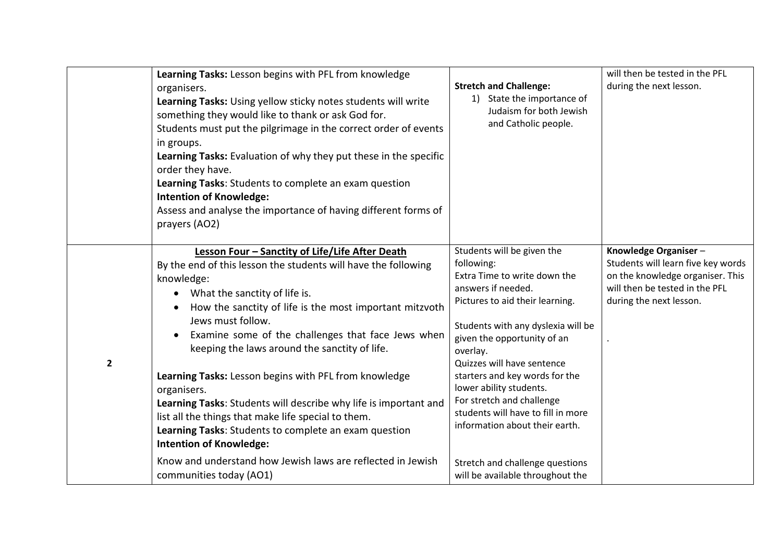|                         | Learning Tasks: Lesson begins with PFL from knowledge<br>organisers.<br>Learning Tasks: Using yellow sticky notes students will write<br>something they would like to thank or ask God for.<br>Students must put the pilgrimage in the correct order of events<br>in groups.<br>Learning Tasks: Evaluation of why they put these in the specific<br>order they have.<br>Learning Tasks: Students to complete an exam question<br><b>Intention of Knowledge:</b><br>Assess and analyse the importance of having different forms of<br>prayers (AO2)                                                                                                                                                                                              | <b>Stretch and Challenge:</b><br>1) State the importance of<br>Judaism for both Jewish<br>and Catholic people.                                                                                                                                                                                                                                                                                                                                                                            | will then be tested in the PFL<br>during the next lesson.                                                                                                   |
|-------------------------|-------------------------------------------------------------------------------------------------------------------------------------------------------------------------------------------------------------------------------------------------------------------------------------------------------------------------------------------------------------------------------------------------------------------------------------------------------------------------------------------------------------------------------------------------------------------------------------------------------------------------------------------------------------------------------------------------------------------------------------------------|-------------------------------------------------------------------------------------------------------------------------------------------------------------------------------------------------------------------------------------------------------------------------------------------------------------------------------------------------------------------------------------------------------------------------------------------------------------------------------------------|-------------------------------------------------------------------------------------------------------------------------------------------------------------|
| $\overline{\mathbf{2}}$ | Lesson Four - Sanctity of Life/Life After Death<br>By the end of this lesson the students will have the following<br>knowledge:<br>What the sanctity of life is.<br>How the sanctity of life is the most important mitzvoth<br>Jews must follow.<br>Examine some of the challenges that face Jews when<br>keeping the laws around the sanctity of life.<br>Learning Tasks: Lesson begins with PFL from knowledge<br>organisers.<br>Learning Tasks: Students will describe why life is important and<br>list all the things that make life special to them.<br>Learning Tasks: Students to complete an exam question<br><b>Intention of Knowledge:</b><br>Know and understand how Jewish laws are reflected in Jewish<br>communities today (AO1) | Students will be given the<br>following:<br>Extra Time to write down the<br>answers if needed.<br>Pictures to aid their learning.<br>Students with any dyslexia will be<br>given the opportunity of an<br>overlay.<br>Quizzes will have sentence<br>starters and key words for the<br>lower ability students.<br>For stretch and challenge<br>students will have to fill in more<br>information about their earth.<br>Stretch and challenge questions<br>will be available throughout the | Knowledge Organiser-<br>Students will learn five key words<br>on the knowledge organiser. This<br>will then be tested in the PFL<br>during the next lesson. |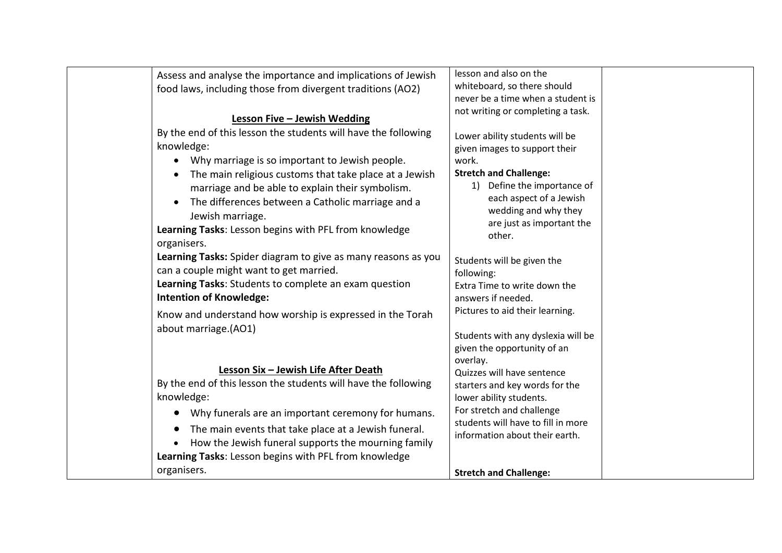| Assess and analyse the importance and implications of Jewish    | lesson and also on the                 |
|-----------------------------------------------------------------|----------------------------------------|
| food laws, including those from divergent traditions (AO2)      | whiteboard, so there should            |
|                                                                 | never be a time when a student is      |
| <b>Lesson Five - Jewish Wedding</b>                             | not writing or completing a task.      |
| By the end of this lesson the students will have the following  |                                        |
| knowledge:                                                      | Lower ability students will be         |
| Why marriage is so important to Jewish people.                  | given images to support their<br>work. |
| The main religious customs that take place at a Jewish          | <b>Stretch and Challenge:</b>          |
|                                                                 | 1) Define the importance of            |
| marriage and be able to explain their symbolism.                | each aspect of a Jewish                |
| The differences between a Catholic marriage and a               | wedding and why they                   |
| Jewish marriage.                                                | are just as important the              |
| Learning Tasks: Lesson begins with PFL from knowledge           | other.                                 |
| organisers.                                                     |                                        |
| Learning Tasks: Spider diagram to give as many reasons as you   | Students will be given the             |
| can a couple might want to get married.                         | following:                             |
| Learning Tasks: Students to complete an exam question           | Extra Time to write down the           |
| <b>Intention of Knowledge:</b>                                  | answers if needed.                     |
| Know and understand how worship is expressed in the Torah       | Pictures to aid their learning.        |
| about marriage.(AO1)                                            |                                        |
|                                                                 | Students with any dyslexia will be     |
|                                                                 | given the opportunity of an            |
| Lesson Six - Jewish Life After Death                            | overlay.<br>Quizzes will have sentence |
| By the end of this lesson the students will have the following  | starters and key words for the         |
| knowledge:                                                      | lower ability students.                |
| Why funerals are an important ceremony for humans.<br>$\bullet$ | For stretch and challenge              |
|                                                                 | students will have to fill in more     |
| The main events that take place at a Jewish funeral.            | information about their earth.         |
| How the Jewish funeral supports the mourning family             |                                        |
| Learning Tasks: Lesson begins with PFL from knowledge           |                                        |
| organisers.                                                     | <b>Stretch and Challenge:</b>          |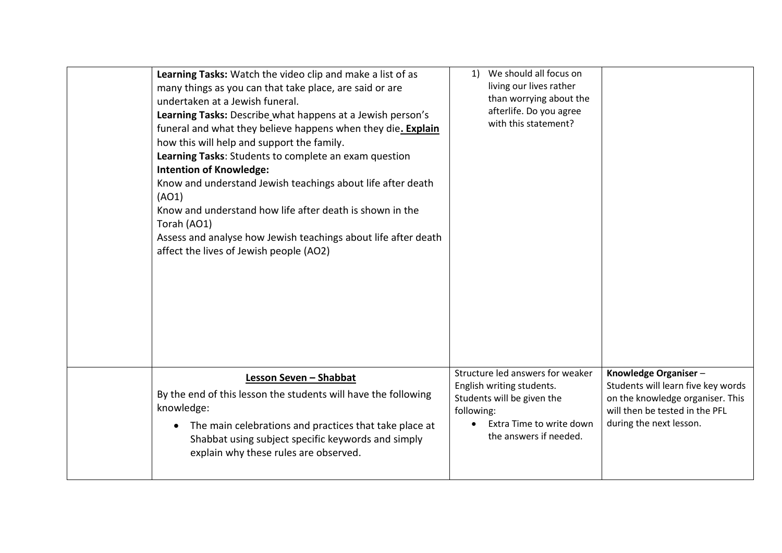| Learning Tasks: Watch the video clip and make a list of as<br>many things as you can that take place, are said or are<br>undertaken at a Jewish funeral.<br>Learning Tasks: Describe what happens at a Jewish person's<br>funeral and what they believe happens when they die. Explain<br>how this will help and support the family.<br>Learning Tasks: Students to complete an exam question<br><b>Intention of Knowledge:</b><br>Know and understand Jewish teachings about life after death<br>(AO1)<br>Know and understand how life after death is shown in the<br>Torah (AO1)<br>Assess and analyse how Jewish teachings about life after death<br>affect the lives of Jewish people (AO2) | We should all focus on<br>1)<br>living our lives rather<br>than worrying about the<br>afterlife. Do you agree<br>with this statement?                           |                                                                                                                                                             |
|-------------------------------------------------------------------------------------------------------------------------------------------------------------------------------------------------------------------------------------------------------------------------------------------------------------------------------------------------------------------------------------------------------------------------------------------------------------------------------------------------------------------------------------------------------------------------------------------------------------------------------------------------------------------------------------------------|-----------------------------------------------------------------------------------------------------------------------------------------------------------------|-------------------------------------------------------------------------------------------------------------------------------------------------------------|
| Lesson Seven - Shabbat<br>By the end of this lesson the students will have the following<br>knowledge:<br>The main celebrations and practices that take place at<br>$\bullet$<br>Shabbat using subject specific keywords and simply<br>explain why these rules are observed.                                                                                                                                                                                                                                                                                                                                                                                                                    | Structure led answers for weaker<br>English writing students.<br>Students will be given the<br>following:<br>Extra Time to write down<br>the answers if needed. | Knowledge Organiser-<br>Students will learn five key words<br>on the knowledge organiser. This<br>will then be tested in the PFL<br>during the next lesson. |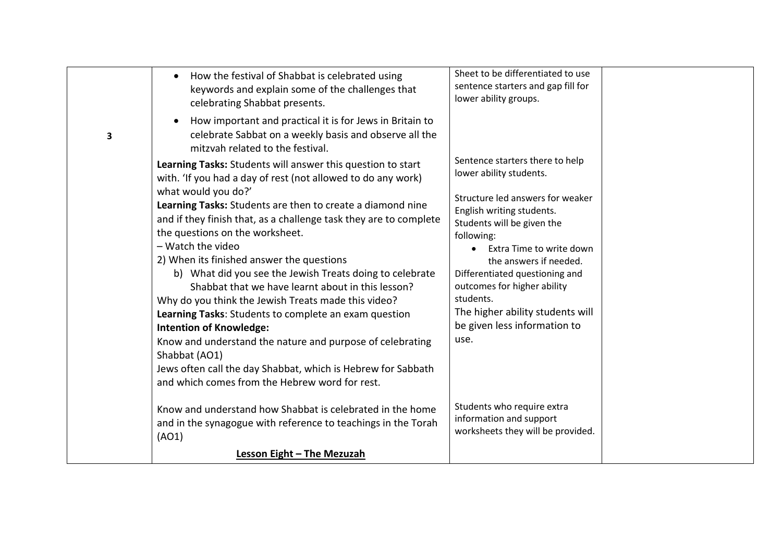|   | How the festival of Shabbat is celebrated using<br>$\bullet$<br>keywords and explain some of the challenges that<br>celebrating Shabbat presents.                                                                                                                                                                                                                                                                                                                                                                                                                                                                                                                            | Sheet to be differentiated to use<br>sentence starters and gap fill for<br>lower ability groups.                                                                                                                                                                                                                          |  |
|---|------------------------------------------------------------------------------------------------------------------------------------------------------------------------------------------------------------------------------------------------------------------------------------------------------------------------------------------------------------------------------------------------------------------------------------------------------------------------------------------------------------------------------------------------------------------------------------------------------------------------------------------------------------------------------|---------------------------------------------------------------------------------------------------------------------------------------------------------------------------------------------------------------------------------------------------------------------------------------------------------------------------|--|
| 3 | How important and practical it is for Jews in Britain to<br>$\bullet$<br>celebrate Sabbat on a weekly basis and observe all the<br>mitzvah related to the festival.                                                                                                                                                                                                                                                                                                                                                                                                                                                                                                          |                                                                                                                                                                                                                                                                                                                           |  |
|   | Learning Tasks: Students will answer this question to start<br>with. 'If you had a day of rest (not allowed to do any work)                                                                                                                                                                                                                                                                                                                                                                                                                                                                                                                                                  | Sentence starters there to help<br>lower ability students.                                                                                                                                                                                                                                                                |  |
|   | what would you do?'<br>Learning Tasks: Students are then to create a diamond nine<br>and if they finish that, as a challenge task they are to complete<br>the questions on the worksheet.<br>- Watch the video<br>2) When its finished answer the questions<br>b) What did you see the Jewish Treats doing to celebrate<br>Shabbat that we have learnt about in this lesson?<br>Why do you think the Jewish Treats made this video?<br>Learning Tasks: Students to complete an exam question<br><b>Intention of Knowledge:</b><br>Know and understand the nature and purpose of celebrating<br>Shabbat (AO1)<br>Jews often call the day Shabbat, which is Hebrew for Sabbath | Structure led answers for weaker<br>English writing students.<br>Students will be given the<br>following:<br>Extra Time to write down<br>the answers if needed.<br>Differentiated questioning and<br>outcomes for higher ability<br>students.<br>The higher ability students will<br>be given less information to<br>use. |  |
|   | and which comes from the Hebrew word for rest.                                                                                                                                                                                                                                                                                                                                                                                                                                                                                                                                                                                                                               |                                                                                                                                                                                                                                                                                                                           |  |
|   | Know and understand how Shabbat is celebrated in the home<br>and in the synagogue with reference to teachings in the Torah<br>(AO1)                                                                                                                                                                                                                                                                                                                                                                                                                                                                                                                                          | Students who require extra<br>information and support<br>worksheets they will be provided.                                                                                                                                                                                                                                |  |
|   | <b>Lesson Eight - The Mezuzah</b>                                                                                                                                                                                                                                                                                                                                                                                                                                                                                                                                                                                                                                            |                                                                                                                                                                                                                                                                                                                           |  |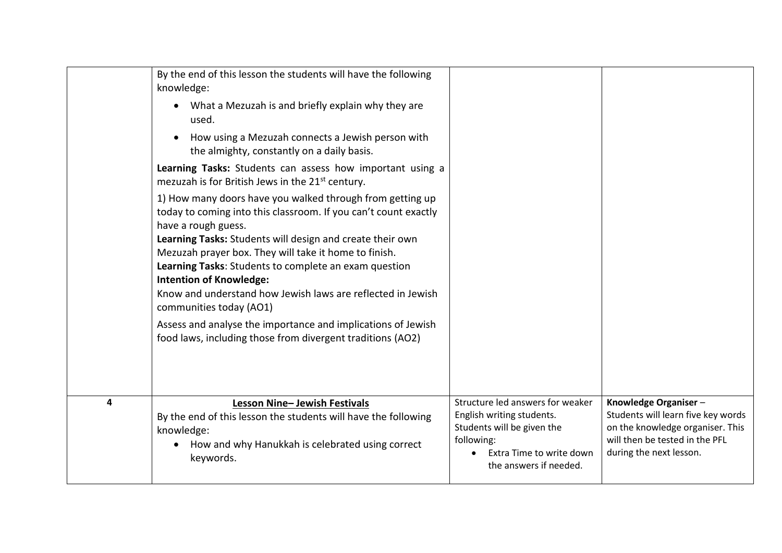|   | By the end of this lesson the students will have the following<br>knowledge:                                                                                                                                                                                                                                                                                                                                                                                                                                                                                                                 |                                                                                                                                                                 |                                                                                                                                                             |
|---|----------------------------------------------------------------------------------------------------------------------------------------------------------------------------------------------------------------------------------------------------------------------------------------------------------------------------------------------------------------------------------------------------------------------------------------------------------------------------------------------------------------------------------------------------------------------------------------------|-----------------------------------------------------------------------------------------------------------------------------------------------------------------|-------------------------------------------------------------------------------------------------------------------------------------------------------------|
|   | What a Mezuzah is and briefly explain why they are<br>used.                                                                                                                                                                                                                                                                                                                                                                                                                                                                                                                                  |                                                                                                                                                                 |                                                                                                                                                             |
|   | How using a Mezuzah connects a Jewish person with<br>the almighty, constantly on a daily basis.                                                                                                                                                                                                                                                                                                                                                                                                                                                                                              |                                                                                                                                                                 |                                                                                                                                                             |
|   | Learning Tasks: Students can assess how important using a<br>mezuzah is for British Jews in the 21 <sup>st</sup> century.                                                                                                                                                                                                                                                                                                                                                                                                                                                                    |                                                                                                                                                                 |                                                                                                                                                             |
|   | 1) How many doors have you walked through from getting up<br>today to coming into this classroom. If you can't count exactly<br>have a rough guess.<br>Learning Tasks: Students will design and create their own<br>Mezuzah prayer box. They will take it home to finish.<br>Learning Tasks: Students to complete an exam question<br><b>Intention of Knowledge:</b><br>Know and understand how Jewish laws are reflected in Jewish<br>communities today (AO1)<br>Assess and analyse the importance and implications of Jewish<br>food laws, including those from divergent traditions (AO2) |                                                                                                                                                                 |                                                                                                                                                             |
| 4 | Lesson Nine- Jewish Festivals<br>By the end of this lesson the students will have the following<br>knowledge:<br>How and why Hanukkah is celebrated using correct<br>keywords.                                                                                                                                                                                                                                                                                                                                                                                                               | Structure led answers for weaker<br>English writing students.<br>Students will be given the<br>following:<br>Extra Time to write down<br>the answers if needed. | Knowledge Organiser-<br>Students will learn five key words<br>on the knowledge organiser. This<br>will then be tested in the PFL<br>during the next lesson. |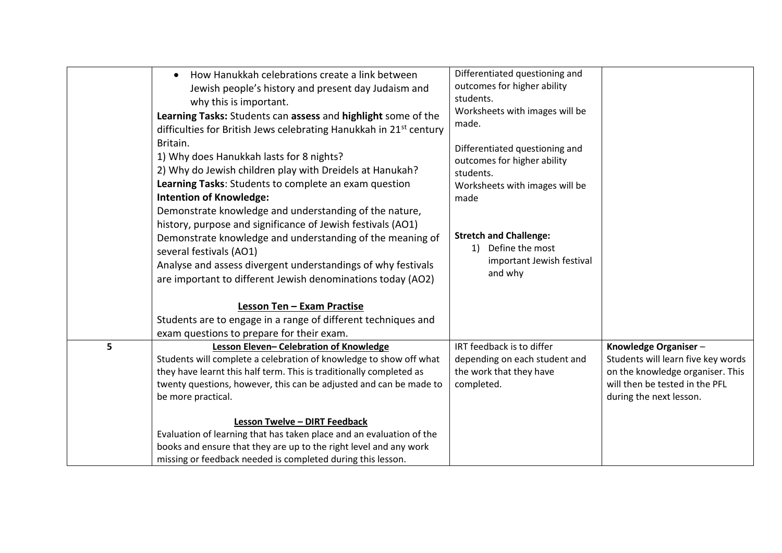|   | How Hanukkah celebrations create a link between<br>$\bullet$<br>Jewish people's history and present day Judaism and<br>why this is important.<br>Learning Tasks: Students can assess and highlight some of the<br>difficulties for British Jews celebrating Hanukkah in 21 <sup>st</sup> century<br>Britain.<br>1) Why does Hanukkah lasts for 8 nights?<br>2) Why do Jewish children play with Dreidels at Hanukah?<br>Learning Tasks: Students to complete an exam question<br><b>Intention of Knowledge:</b><br>Demonstrate knowledge and understanding of the nature,<br>history, purpose and significance of Jewish festivals (AO1)<br>Demonstrate knowledge and understanding of the meaning of<br>several festivals (AO1)<br>Analyse and assess divergent understandings of why festivals<br>are important to different Jewish denominations today (AO2) | Differentiated questioning and<br>outcomes for higher ability<br>students.<br>Worksheets with images will be<br>made.<br>Differentiated questioning and<br>outcomes for higher ability<br>students.<br>Worksheets with images will be<br>made<br><b>Stretch and Challenge:</b><br>1) Define the most<br>important Jewish festival<br>and why |                                                                                                                                                             |
|---|-----------------------------------------------------------------------------------------------------------------------------------------------------------------------------------------------------------------------------------------------------------------------------------------------------------------------------------------------------------------------------------------------------------------------------------------------------------------------------------------------------------------------------------------------------------------------------------------------------------------------------------------------------------------------------------------------------------------------------------------------------------------------------------------------------------------------------------------------------------------|----------------------------------------------------------------------------------------------------------------------------------------------------------------------------------------------------------------------------------------------------------------------------------------------------------------------------------------------|-------------------------------------------------------------------------------------------------------------------------------------------------------------|
|   | Lesson Ten - Exam Practise                                                                                                                                                                                                                                                                                                                                                                                                                                                                                                                                                                                                                                                                                                                                                                                                                                      |                                                                                                                                                                                                                                                                                                                                              |                                                                                                                                                             |
|   | Students are to engage in a range of different techniques and<br>exam questions to prepare for their exam.                                                                                                                                                                                                                                                                                                                                                                                                                                                                                                                                                                                                                                                                                                                                                      |                                                                                                                                                                                                                                                                                                                                              |                                                                                                                                                             |
| 5 | Lesson Eleven- Celebration of Knowledge<br>Students will complete a celebration of knowledge to show off what<br>they have learnt this half term. This is traditionally completed as<br>twenty questions, however, this can be adjusted and can be made to<br>be more practical.                                                                                                                                                                                                                                                                                                                                                                                                                                                                                                                                                                                | IRT feedback is to differ<br>depending on each student and<br>the work that they have<br>completed.                                                                                                                                                                                                                                          | Knowledge Organiser-<br>Students will learn five key words<br>on the knowledge organiser. This<br>will then be tested in the PFL<br>during the next lesson. |
|   | <b>Lesson Twelve - DIRT Feedback</b><br>Evaluation of learning that has taken place and an evaluation of the<br>books and ensure that they are up to the right level and any work<br>missing or feedback needed is completed during this lesson.                                                                                                                                                                                                                                                                                                                                                                                                                                                                                                                                                                                                                |                                                                                                                                                                                                                                                                                                                                              |                                                                                                                                                             |